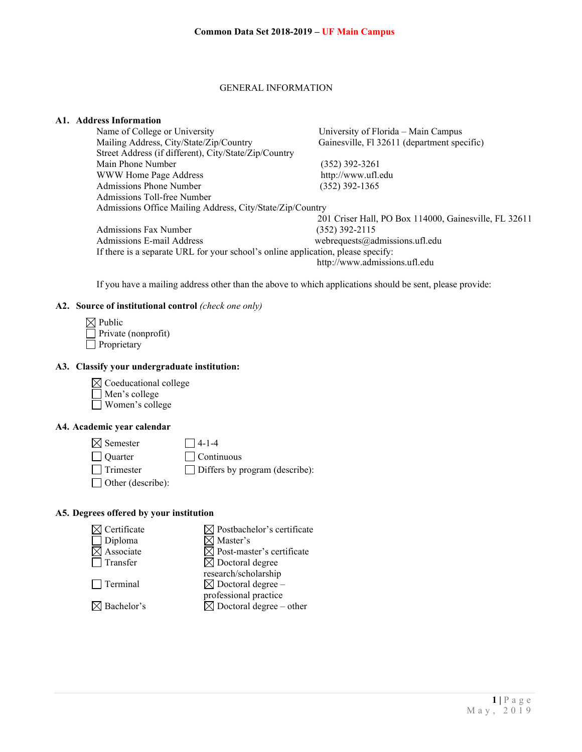#### GENERAL INFORMATION

## **A1. Address Information**

| Name of College or University                                                    | University of Florida - Main Campus                   |
|----------------------------------------------------------------------------------|-------------------------------------------------------|
| Mailing Address, City/State/Zip/Country                                          | Gainesville, Fl 32611 (department specific)           |
| Street Address (if different), City/State/Zip/Country                            |                                                       |
| Main Phone Number                                                                | $(352)$ 392-3261                                      |
| WWW Home Page Address                                                            | http://www.ufl.edu                                    |
| Admissions Phone Number                                                          | $(352)$ 392-1365                                      |
| Admissions Toll-free Number                                                      |                                                       |
| Admissions Office Mailing Address, City/State/Zip/Country                        |                                                       |
|                                                                                  | 201 Criser Hall, PO Box 114000, Gainesville, FL 32611 |
| Admissions Fax Number                                                            | $(352)$ 392-2115                                      |
| Admissions E-mail Address                                                        | webrequests@admissions.ufl.edu                        |
| If there is a separate URL for your school's online application, please specify: |                                                       |
|                                                                                  |                                                       |

http://www.admissions.ufl.edu

If you have a mailing address other than the above to which applications should be sent, please provide:

#### **A2. Source of institutional control** *(check one only)*

| $\boxtimes$ Public  |
|---------------------|
| Private (nonprofit) |
| $\Box$ Proprietary  |

## **A3. Classify your undergraduate institution:**

 $\boxtimes$  Coeducational college Men's college Women's college

## **A4. Academic year calendar**



## **A5. Degrees offered by your institution**

| $\boxtimes$ Certificate | $\boxtimes$ Postbachelor's certificate |
|-------------------------|----------------------------------------|
| $\Box$ Diploma          | $\boxtimes$ Master's                   |
| $\boxtimes$ Associate   | $\boxtimes$ Post-master's certificate  |
| $\Box$ Transfer         | $\boxtimes$ Doctoral degree            |
|                         | research/scholarship                   |
| $\Box$ Terminal         | $\boxtimes$ Doctoral degree –          |
|                         | professional practice                  |
| $\boxtimes$ Bachelor's  | $\boxtimes$ Doctoral degree – other    |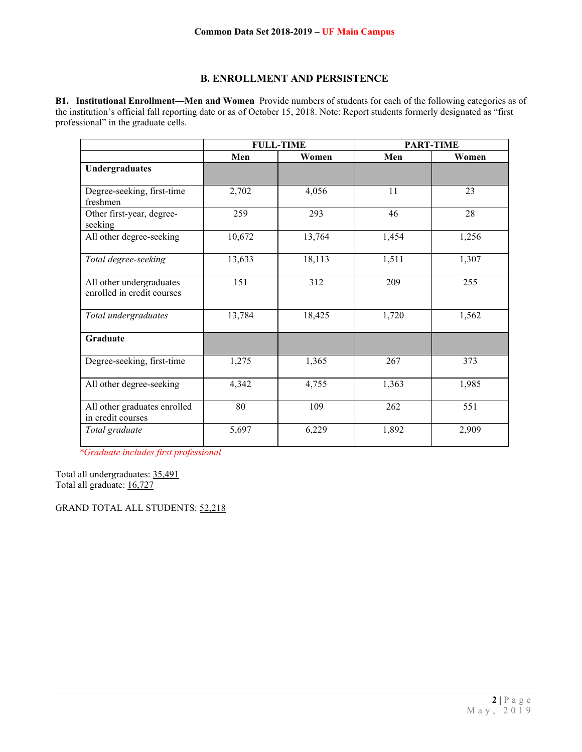## **B. ENROLLMENT AND PERSISTENCE**

**B1. Institutional Enrollment—Men and Women** Provide numbers of students for each of the following categories as of the institution's official fall reporting date or as of October 15, 2018. Note: Report students formerly designated as "first professional" in the graduate cells.

|                                                        | <b>FULL-TIME</b> |        | <b>PART-TIME</b> |       |
|--------------------------------------------------------|------------------|--------|------------------|-------|
|                                                        | Men              | Women  | Men              | Women |
| Undergraduates                                         |                  |        |                  |       |
| Degree-seeking, first-time<br>freshmen                 | 2,702            | 4,056  | 11               | 23    |
| Other first-year, degree-<br>seeking                   | 259              | 293    | 46               | 28    |
| All other degree-seeking                               | 10,672           | 13,764 | 1,454            | 1,256 |
| Total degree-seeking                                   | 13,633           | 18,113 | 1,511            | 1,307 |
| All other undergraduates<br>enrolled in credit courses | 151              | 312    | 209              | 255   |
| Total undergraduates                                   | 13,784           | 18,425 | 1,720            | 1,562 |
| Graduate                                               |                  |        |                  |       |
| Degree-seeking, first-time                             | 1,275            | 1,365  | 267              | 373   |
| All other degree-seeking                               | 4,342            | 4,755  | 1,363            | 1,985 |
| All other graduates enrolled<br>in credit courses      | 80               | 109    | 262              | 551   |
| Total graduate                                         | 5,697            | 6,229  | 1,892            | 2,909 |

*\*Graduate includes first professional*

Total all undergraduates: 35,491 Total all graduate: 16,727

GRAND TOTAL ALL STUDENTS: 52,218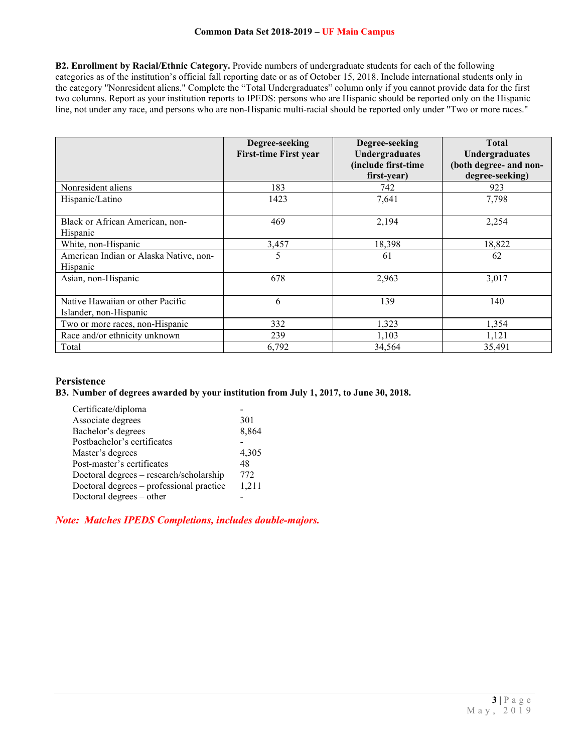**B2. Enrollment by Racial/Ethnic Category.** Provide numbers of undergraduate students for each of the following categories as of the institution's official fall reporting date or as of October 15, 2018. Include international students only in the category "Nonresident aliens." Complete the "Total Undergraduates" column only if you cannot provide data for the first two columns. Report as your institution reports to IPEDS: persons who are Hispanic should be reported only on the Hispanic line, not under any race, and persons who are non-Hispanic multi-racial should be reported only under "Two or more races."

|                                                            | Degree-seeking<br><b>First-time First year</b> | Degree-seeking<br><b>Undergraduates</b><br>(include first-time<br>first-year) | <b>Total</b><br><b>Undergraduates</b><br>(both degree- and non-<br>degree-seeking) |
|------------------------------------------------------------|------------------------------------------------|-------------------------------------------------------------------------------|------------------------------------------------------------------------------------|
| Nonresident aliens                                         | 183                                            | 742                                                                           | 923                                                                                |
| Hispanic/Latino                                            | 1423                                           | 7,641                                                                         | 7,798                                                                              |
| Black or African American, non-<br>Hispanic                | 469                                            | 2,194                                                                         | 2,254                                                                              |
| White, non-Hispanic                                        | 3,457                                          | 18,398                                                                        | 18,822                                                                             |
| American Indian or Alaska Native, non-<br>Hispanic         | 5                                              | 61                                                                            | 62                                                                                 |
| Asian, non-Hispanic                                        | 678                                            | 2,963                                                                         | 3,017                                                                              |
| Native Hawaiian or other Pacific<br>Islander, non-Hispanic | 6                                              | 139                                                                           | 140                                                                                |
| Two or more races, non-Hispanic                            | 332                                            | 1,323                                                                         | 1,354                                                                              |
| Race and/or ethnicity unknown                              | 239                                            | 1,103                                                                         | 1,121                                                                              |
| Total                                                      | 6,792                                          | 34,564                                                                        | 35,491                                                                             |

## **Persistence**

## **B3. Number of degrees awarded by your institution from July 1, 2017, to June 30, 2018.**

| Certificate/diploma                      |       |
|------------------------------------------|-------|
| Associate degrees                        | 301   |
| Bachelor's degrees                       | 8,864 |
| Postbachelor's certificates              |       |
| Master's degrees                         | 4,305 |
| Post-master's certificates               | 48    |
| Doctoral degrees - research/scholarship  | 772   |
| Doctoral degrees – professional practice | 1,211 |
| Doctoral degrees – other                 |       |

*Note: Matches IPEDS Completions, includes double-majors.*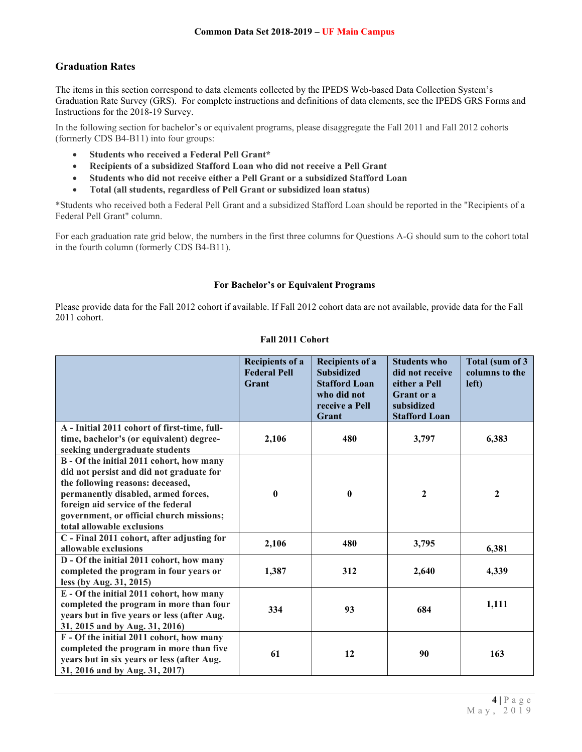## **Graduation Rates**

The items in this section correspond to data elements collected by the IPEDS Web-based Data Collection System's Graduation Rate Survey (GRS). For complete instructions and definitions of data elements, see the IPEDS GRS Forms and Instructions for the 2018-19 Survey.

In the following section for bachelor's or equivalent programs, please disaggregate the Fall 2011 and Fall 2012 cohorts (formerly CDS B4-B11) into four groups:

- **Students who received a Federal Pell Grant\***
- **Recipients of a subsidized Stafford Loan who did not receive a Pell Grant**
- **Students who did not receive either a Pell Grant or a subsidized Stafford Loan**
- **Total (all students, regardless of Pell Grant or subsidized loan status)**

\*Students who received both a Federal Pell Grant and a subsidized Stafford Loan should be reported in the "Recipients of a Federal Pell Grant" column.

For each graduation rate grid below, the numbers in the first three columns for Questions A-G should sum to the cohort total in the fourth column (formerly CDS B4-B11).

### **For Bachelor's or Equivalent Programs**

Please provide data for the Fall 2012 cohort if available. If Fall 2012 cohort data are not available, provide data for the Fall 2011 cohort.

## **Fall 2011 Cohort**

|                                                                                                                                                                                                                                                                                 | <b>Recipients of a</b><br><b>Federal Pell</b><br>Grant | <b>Recipients of a</b><br><b>Subsidized</b><br><b>Stafford Loan</b><br>who did not<br>receive a Pell<br>Grant | <b>Students who</b><br>did not receive<br>either a Pell<br>Grant or a<br>subsidized<br><b>Stafford Loan</b> | Total (sum of 3<br>columns to the<br>left) |
|---------------------------------------------------------------------------------------------------------------------------------------------------------------------------------------------------------------------------------------------------------------------------------|--------------------------------------------------------|---------------------------------------------------------------------------------------------------------------|-------------------------------------------------------------------------------------------------------------|--------------------------------------------|
| A - Initial 2011 cohort of first-time, full-<br>time, bachelor's (or equivalent) degree-<br>seeking undergraduate students                                                                                                                                                      | 2,106                                                  | 480                                                                                                           | 3,797                                                                                                       | 6,383                                      |
| B - Of the initial 2011 cohort, how many<br>did not persist and did not graduate for<br>the following reasons: deceased,<br>permanently disabled, armed forces,<br>foreign aid service of the federal<br>government, or official church missions;<br>total allowable exclusions | $\bf{0}$                                               | $\bf{0}$                                                                                                      | $\mathbf{2}$                                                                                                | $\mathbf{2}$                               |
| C - Final 2011 cohort, after adjusting for<br>allowable exclusions                                                                                                                                                                                                              | 2,106                                                  | 480                                                                                                           | 3,795                                                                                                       | 6,381                                      |
| D - Of the initial 2011 cohort, how many<br>completed the program in four years or<br>less (by Aug. 31, 2015)                                                                                                                                                                   | 1,387                                                  | 312                                                                                                           | 2,640                                                                                                       | 4,339                                      |
| E - Of the initial 2011 cohort, how many<br>completed the program in more than four<br>years but in five years or less (after Aug.<br>31, 2015 and by Aug. 31, 2016)                                                                                                            | 334                                                    | 93                                                                                                            | 684                                                                                                         | 1,111                                      |
| F - Of the initial 2011 cohort, how many<br>completed the program in more than five<br>years but in six years or less (after Aug.<br>31, 2016 and by Aug. 31, 2017)                                                                                                             | 61                                                     | 12                                                                                                            | 90                                                                                                          | 163                                        |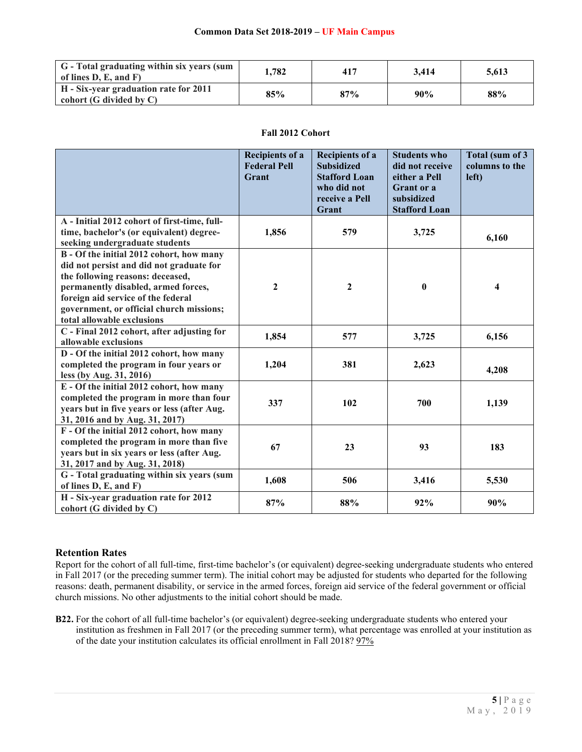| G - Total graduating within six years (sum<br>of lines D. E. and F)   | . 782 | 417 | 3.414 | 5.613 |
|-----------------------------------------------------------------------|-------|-----|-------|-------|
| H - Six-year graduation rate for 2011<br>cohort $(G$ divided by $C$ ) | 85%   | 87% | 90%   | 88%   |

## **Fall 2012 Cohort**

|                                                                                                                                                                                                                                                                                 | <b>Recipients of a</b><br><b>Federal Pell</b><br>Grant | <b>Recipients of a</b><br><b>Subsidized</b><br><b>Stafford Loan</b><br>who did not<br>receive a Pell<br>Grant | <b>Students who</b><br>did not receive<br>either a Pell<br>Grant or a<br>subsidized<br><b>Stafford Loan</b> | Total (sum of 3<br>columns to the<br>left) |
|---------------------------------------------------------------------------------------------------------------------------------------------------------------------------------------------------------------------------------------------------------------------------------|--------------------------------------------------------|---------------------------------------------------------------------------------------------------------------|-------------------------------------------------------------------------------------------------------------|--------------------------------------------|
| A - Initial 2012 cohort of first-time, full-<br>time, bachelor's (or equivalent) degree-<br>seeking undergraduate students                                                                                                                                                      | 1,856                                                  | 579                                                                                                           | 3,725                                                                                                       | 6,160                                      |
| B - Of the initial 2012 cohort, how many<br>did not persist and did not graduate for<br>the following reasons: deceased,<br>permanently disabled, armed forces,<br>foreign aid service of the federal<br>government, or official church missions;<br>total allowable exclusions | $\mathbf{2}$                                           | $\boldsymbol{2}$                                                                                              | $\bf{0}$                                                                                                    | $\overline{\mathbf{4}}$                    |
| C - Final 2012 cohort, after adjusting for<br>allowable exclusions                                                                                                                                                                                                              | 1,854                                                  | 577                                                                                                           | 3,725                                                                                                       | 6,156                                      |
| D - Of the initial 2012 cohort, how many<br>completed the program in four years or<br>less (by Aug. 31, 2016)                                                                                                                                                                   | 1,204                                                  | 381                                                                                                           | 2,623                                                                                                       | 4,208                                      |
| E - Of the initial 2012 cohort, how many<br>completed the program in more than four<br>years but in five years or less (after Aug.<br>31, 2016 and by Aug. 31, 2017)                                                                                                            | 337                                                    | 102                                                                                                           | 700                                                                                                         | 1,139                                      |
| F - Of the initial 2012 cohort, how many<br>completed the program in more than five<br>years but in six years or less (after Aug.<br>31, 2017 and by Aug. 31, 2018)                                                                                                             | 67                                                     | 23                                                                                                            | 93                                                                                                          | 183                                        |
| G - Total graduating within six years (sum<br>of lines D, E, and F)                                                                                                                                                                                                             | 1,608                                                  | 506                                                                                                           | 3,416                                                                                                       | 5,530                                      |
| H - Six-year graduation rate for 2012<br>cohort (G divided by C)                                                                                                                                                                                                                | 87%                                                    | 88%                                                                                                           | 92%                                                                                                         | 90%                                        |

## **Retention Rates**

Report for the cohort of all full-time, first-time bachelor's (or equivalent) degree-seeking undergraduate students who entered in Fall 2017 (or the preceding summer term). The initial cohort may be adjusted for students who departed for the following reasons: death, permanent disability, or service in the armed forces, foreign aid service of the federal government or official church missions. No other adjustments to the initial cohort should be made.

**B22.** For the cohort of all full-time bachelor's (or equivalent) degree-seeking undergraduate students who entered your institution as freshmen in Fall 2017 (or the preceding summer term), what percentage was enrolled at your institution as of the date your institution calculates its official enrollment in Fall 2018? 97%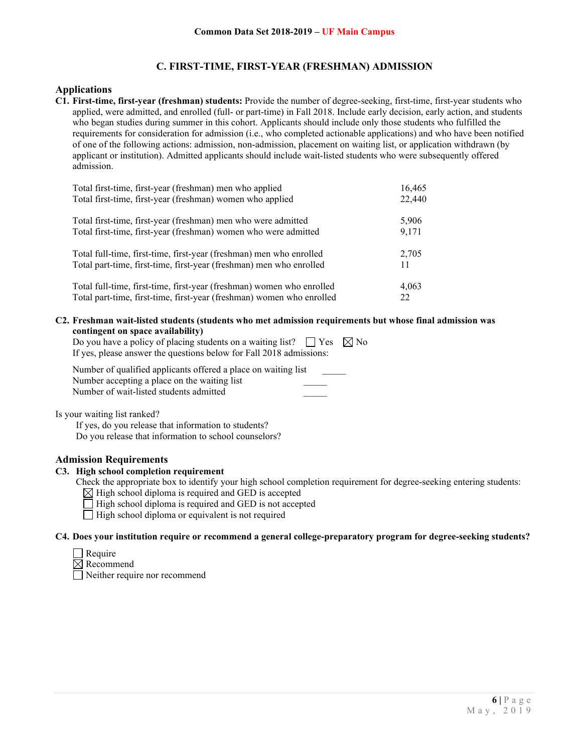## **C. FIRST-TIME, FIRST-YEAR (FRESHMAN) ADMISSION**

### **Applications**

**C1. First-time, first-year (freshman) students:** Provide the number of degree-seeking, first-time, first-year students who applied, were admitted, and enrolled (full- or part-time) in Fall 2018. Include early decision, early action, and students who began studies during summer in this cohort. Applicants should include only those students who fulfilled the requirements for consideration for admission (i.e., who completed actionable applications) and who have been notified of one of the following actions: admission, non-admission, placement on waiting list, or application withdrawn (by applicant or institution). Admitted applicants should include wait-listed students who were subsequently offered admission.

| Total first-time, first-year (freshman) men who applied               | 16,465 |
|-----------------------------------------------------------------------|--------|
| Total first-time, first-year (freshman) women who applied             | 22,440 |
| Total first-time, first-year (freshman) men who were admitted         | 5,906  |
| Total first-time, first-year (freshman) women who were admitted       | 9,171  |
| Total full-time, first-time, first-year (freshman) men who enrolled   | 2,705  |
| Total part-time, first-time, first-year (freshman) men who enrolled   | 11     |
| Total full-time, first-time, first-year (freshman) women who enrolled | 4,063  |
| Total part-time, first-time, first-year (freshman) women who enrolled | 22     |

**C2. Freshman wait-listed students (students who met admission requirements but whose final admission was contingent on space availability)**

| Do you have a policy of placing students on a waiting list? $\Box$ Yes $\boxtimes$ No |  |
|---------------------------------------------------------------------------------------|--|
| If yes, please answer the questions below for Fall 2018 admissions:                   |  |

Number of qualified applicants offered a place on waiting list \_\_\_\_\_ Number accepting a place on the waiting list Number of wait-listed students admitted \_\_\_\_\_

Is your waiting list ranked?

If yes, do you release that information to students? Do you release that information to school counselors?

### **Admission Requirements**

#### **C3. High school completion requirement**

- Check the appropriate box to identify your high school completion requirement for degree-seeking entering students:
	- $\boxtimes$  High school diploma is required and GED is accepted
	- $\Box$  High school diploma is required and GED is not accepted
	- $\Box$  High school diploma or equivalent is not required

#### **C4. Does your institution require or recommend a general college-preparatory program for degree-seeking students?**

- $\Box$  Require
- $\boxtimes$  Recommend

Neither require nor recommend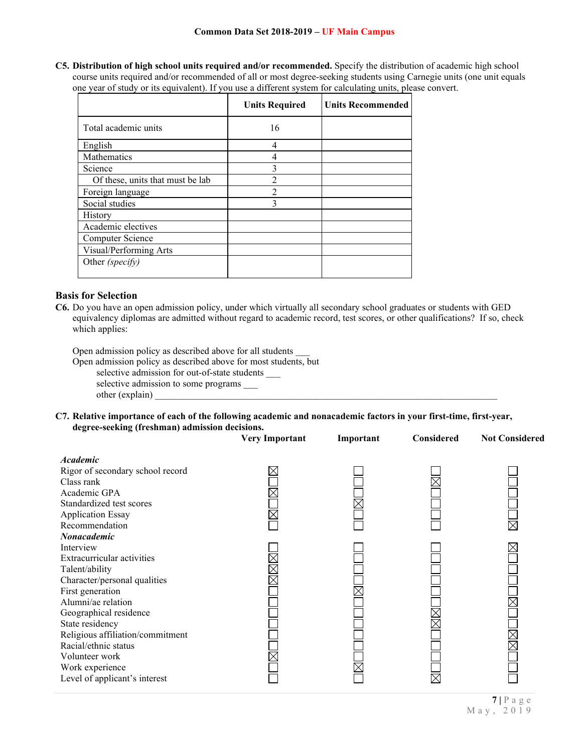**C5. Distribution of high school units required and/or recommended.** Specify the distribution of academic high school course units required and/or recommended of all or most degree-seeking students using Carnegie units (one unit equals one year of study or its equivalent). If you use a different system for calculating units, please convert.

|                                  | <b>Units Required</b> | <b>Units Recommended</b> |
|----------------------------------|-----------------------|--------------------------|
| Total academic units             | 16                    |                          |
| English                          | 4                     |                          |
| Mathematics                      | 4                     |                          |
| Science                          |                       |                          |
| Of these, units that must be lab | $\overline{2}$        |                          |
| Foreign language                 | $\mathfrak{D}$        |                          |
| Social studies                   | 3                     |                          |
| History                          |                       |                          |
| Academic electives               |                       |                          |
| Computer Science                 |                       |                          |
| Visual/Performing Arts           |                       |                          |
| Other (specify)                  |                       |                          |

## **Basis for Selection**

**C6.** Do you have an open admission policy, under which virtually all secondary school graduates or students with GED equivalency diplomas are admitted without regard to academic record, test scores, or other qualifications? If so, check which applies:

Open admission policy as described above for all students \_\_\_

Open admission policy as described above for most students, but

selective admission for out-of-state students \_\_\_

selective admission to some programs \_\_\_ other (explain)

**C7. Relative importance of each of the following academic and nonacademic factors in your first-time, first-year, degree-seeking (freshman) admission decisions.**

|                                                                                                                                                                                                                                                                                                                    | <b>Very Important</b> | Important | Considered | <b>Not Considered</b> |
|--------------------------------------------------------------------------------------------------------------------------------------------------------------------------------------------------------------------------------------------------------------------------------------------------------------------|-----------------------|-----------|------------|-----------------------|
| <b>Academic</b><br>Rigor of secondary school record<br>Class rank                                                                                                                                                                                                                                                  |                       |           |            |                       |
| Academic GPA<br>Standardized test scores<br><b>Application Essay</b><br>Recommendation<br><b>Nonacademic</b>                                                                                                                                                                                                       |                       |           |            |                       |
| Interview<br>Extracurricular activities<br>Talent/ability<br>Character/personal qualities<br>First generation<br>Alumni/ae relation<br>Geographical residence<br>State residency<br>Religious affiliation/commitment<br>Racial/ethnic status<br>Volunteer work<br>Work experience<br>Level of applicant's interest |                       |           | $\times$   |                       |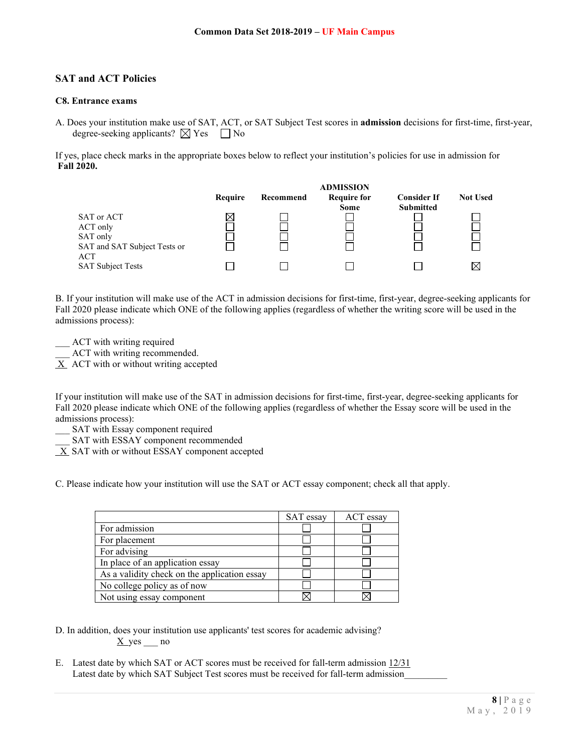## **SAT and ACT Policies**

### **C8. Entrance exams**

A. Does your institution make use of SAT, ACT, or SAT Subject Test scores in **admission** decisions for first-time, first-year, degree-seeking applicants?  $\boxtimes$  Yes  $\Box$  No

If yes, place check marks in the appropriate boxes below to reflect your institution's policies for use in admission for **Fall 2020.**



B. If your institution will make use of the ACT in admission decisions for first-time, first-year, degree-seeking applicants for Fall 2020 please indicate which ONE of the following applies (regardless of whether the writing score will be used in the admissions process):

ACT with writing required

ACT with writing recommended.

 $X$  ACT with or without writing accepted

If your institution will make use of the SAT in admission decisions for first-time, first-year, degree-seeking applicants for Fall 2020 please indicate which ONE of the following applies (regardless of whether the Essay score will be used in the admissions process):

- SAT with Essay component required
- SAT with ESSAY component recommended
- X SAT with or without ESSAY component accepted

C. Please indicate how your institution will use the SAT or ACT essay component; check all that apply.

|                                              | SAT essay | ACT essay |
|----------------------------------------------|-----------|-----------|
| For admission                                |           |           |
| For placement                                |           |           |
| For advising                                 |           |           |
| In place of an application essay             |           |           |
| As a validity check on the application essay |           |           |
| No college policy as of now                  |           |           |
| Not using essay component                    |           |           |

D. In addition, does your institution use applicants' test scores for academic advising?  $X$  yes  $\_\_$ no

E. Latest date by which SAT or ACT scores must be received for fall-term admission 12/31 Latest date by which SAT Subject Test scores must be received for fall-term admission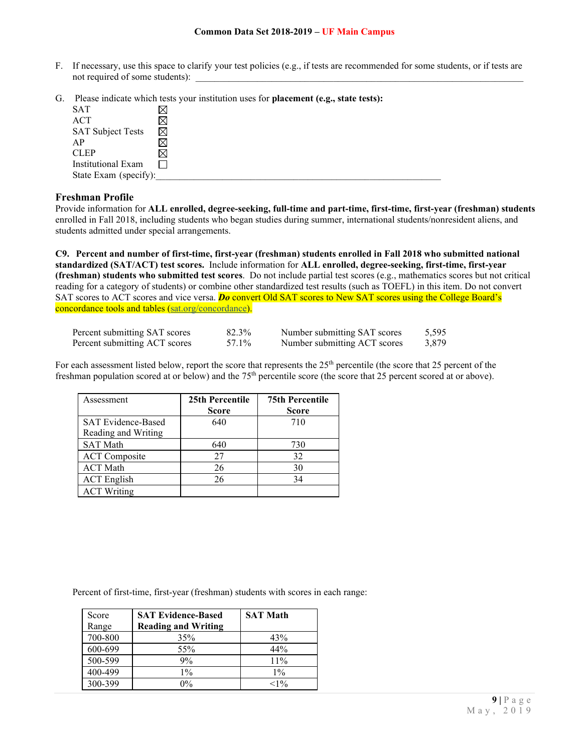- F. If necessary, use this space to clarify your test policies (e.g., if tests are recommended for some students, or if tests are not required of some students):
- G. Please indicate which tests your institution uses for **placement (e.g., state tests):**

| <b>SAT</b>               |   |
|--------------------------|---|
| <b>ACT</b>               |   |
| <b>SAT Subject Tests</b> | ⊠ |
| AP                       |   |
| <b>CLEP</b>              |   |
| Institutional Exam       |   |
| State Exam (specify):    |   |

### **Freshman Profile**

Provide information for **ALL enrolled, degree-seeking, full-time and part-time, first-time, first-year (freshman) students**  enrolled in Fall 2018, including students who began studies during summer, international students/nonresident aliens, and students admitted under special arrangements.

**C9. Percent and number of first-time, first-year (freshman) students enrolled in Fall 2018 who submitted national standardized (SAT/ACT) test scores.** Include information for **ALL enrolled, degree-seeking, first-time, first-year (freshman) students who submitted test scores**. Do not include partial test scores (e.g., mathematics scores but not critical reading for a category of students) or combine other standardized test results (such as TOEFL) in this item. Do not convert SAT scores to ACT scores and vice versa. **Do** convert Old SAT scores to New SAT scores using the College Board's concordance tools and tables (sat.org/concordance).

| Percent submitting SAT scores | 82.3% | Number submitting SAT scores | 5.595 |
|-------------------------------|-------|------------------------------|-------|
| Percent submitting ACT scores | 57.1% | Number submitting ACT scores | 3.879 |

For each assessment listed below, report the score that represents the 25<sup>th</sup> percentile (the score that 25 percent of the freshman population scored at or below) and the 75<sup>th</sup> percentile score (the score that 25 percent scored at or above).

| Assessment                                       | 25th Percentile<br><b>Score</b> | <b>75th Percentile</b><br><b>Score</b> |
|--------------------------------------------------|---------------------------------|----------------------------------------|
| <b>SAT Evidence-Based</b><br>Reading and Writing | 640                             | 710                                    |
| <b>SAT Math</b>                                  | 640                             | 730                                    |
| <b>ACT</b> Composite                             | 27                              | 32                                     |
| <b>ACT Math</b>                                  | 26                              | 30                                     |
| <b>ACT</b> English                               | 26                              | 34                                     |
| <b>ACT Writing</b>                               |                                 |                                        |

Percent of first-time, first-year (freshman) students with scores in each range:

| Score   | <b>SAT Evidence-Based</b>  | <b>SAT Math</b> |
|---------|----------------------------|-----------------|
| Range   | <b>Reading and Writing</b> |                 |
| 700-800 | 35%                        | 43%             |
| 600-699 | 55%                        | 44%             |
| 500-599 | 9%                         | $11\%$          |
| 400-499 | $1\%$                      | $1\%$           |
| 300-399 | $0\%$                      | ${<}1\%$        |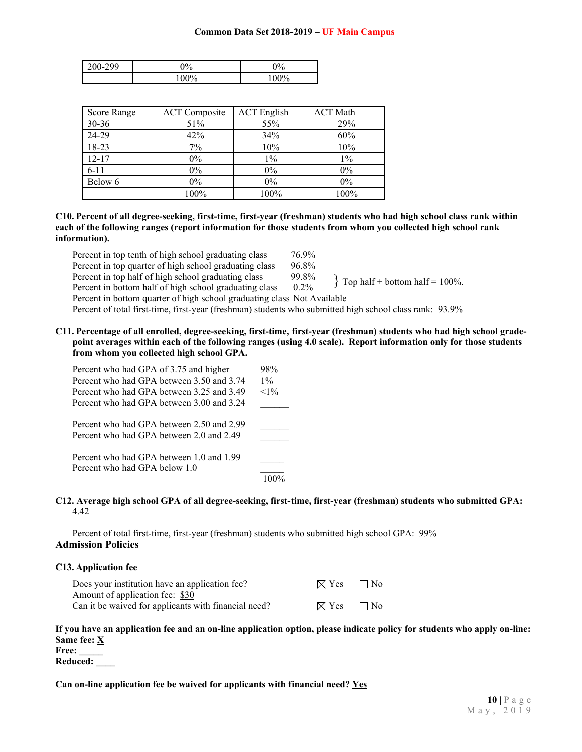| 200-299 | $9\%$   | 9%     |
|---------|---------|--------|
|         | $100\%$ | $00\%$ |

| Score Range | <b>ACT</b> Composite | <b>ACT</b> English | <b>ACT Math</b> |
|-------------|----------------------|--------------------|-----------------|
| 30-36       | 51%                  | 55%                | 29%             |
| 24-29       | 42%                  | 34%                | 60%             |
| 18-23       | 7%                   | 10%                | 10%             |
| $12 - 17$   | $0\%$                | $1\%$              | $1\%$           |
| $6 - 11$    | $0\%$                | $0\%$              | $0\%$           |
| Below 6     | $0\%$                | $0\%$              | $0\%$           |
|             | 100%                 | 100%               | 100%            |

**C10. Percent of all degree-seeking, first-time, first-year (freshman) students who had high school class rank within each of the following ranges (report information for those students from whom you collected high school rank information).**

Percent in top tenth of high school graduating class  $76.9\%$ Percent in top quarter of high school graduating class 96.8% Percent in top half of high school graduating class 99.8%<br>Percent in bottom half of high school graduating class 0.2% Percent in bottom half of high school graduating class Percent in bottom quarter of high school graduating class Not Available  $\{$  Top half + bottom half = 100%.

Percent of total first-time, first-year (freshman) students who submitted high school class rank: 93.9%

**C11. Percentage of all enrolled, degree-seeking, first-time, first-year (freshman) students who had high school gradepoint averages within each of the following ranges (using 4.0 scale). Report information only for those students from whom you collected high school GPA.**

| Percent who had GPA of 3.75 and higher<br>Percent who had GPA between 3.50 and 3.74<br>Percent who had GPA between 3.25 and 3.49<br>Percent who had GPA between 3.00 and 3.24 | 98%<br>$1\%$<br>$<1\%$ |
|-------------------------------------------------------------------------------------------------------------------------------------------------------------------------------|------------------------|
| Percent who had GPA between 2.50 and 2.99<br>Percent who had GPA between 2.0 and 2.49                                                                                         |                        |
| Percent who had GPA between 1.0 and 1.99<br>Percent who had GPA below 1.0                                                                                                     |                        |

#### **C12. Average high school GPA of all degree-seeking, first-time, first-year (freshman) students who submitted GPA:** 4.42

Percent of total first-time, first-year (freshman) students who submitted high school GPA: 99% **Admission Policies**

|  | <b>C13. Application fee</b> |  |  |  |
|--|-----------------------------|--|--|--|
|--|-----------------------------|--|--|--|

| Does your institution have an application fee?       | $\boxtimes$ Yes $\Box$ No |  |
|------------------------------------------------------|---------------------------|--|
| Amount of application fee: \$30                      |                           |  |
| Can it be waived for applicants with financial need? | $\boxtimes$ Yes $\Box$ No |  |

## **If you have an application fee and an on-line application option, please indicate policy for students who apply on-line: Same fee: X**

**Free: \_\_\_\_\_ Reduced: \_\_\_\_**

**Can on-line application fee be waived for applicants with financial need? Yes**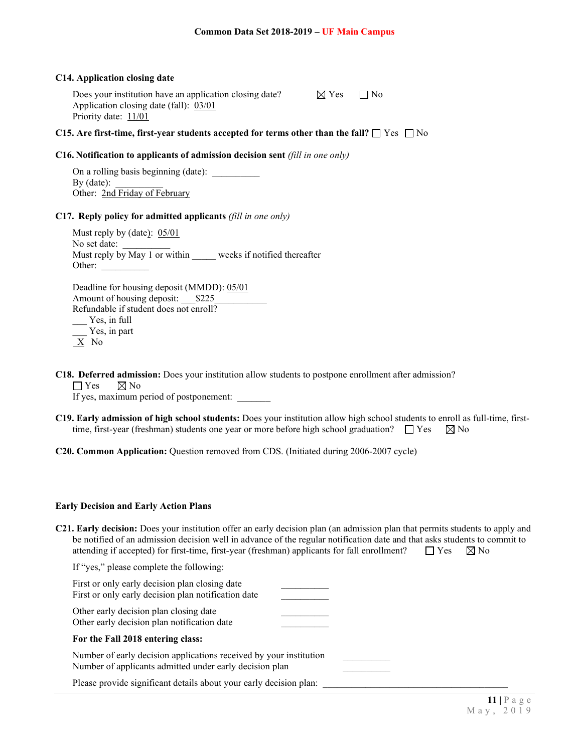#### **C14. Application closing date**

Does your institution have an application closing date?  $\boxtimes$  Yes  $\Box$  No Application closing date (fall): 03/01 Priority date: 11/01

## **C15.** Are first-time, first-year students accepted for terms other than the fall?  $\Box$  Yes  $\Box$  No

#### **C16. Notification to applicants of admission decision sent** *(fill in one only)*

On a rolling basis beginning (date): By  $(data)$ : Other: 2nd Friday of February

#### **C17. Reply policy for admitted applicants** *(fill in one only)*

Must reply by (date): 05/01 No set date: Must reply by May 1 or within weeks if notified thereafter Other:

Deadline for housing deposit (MMDD): 05/01 Amount of housing deposit: \$225 Refundable if student does not enroll? \_\_\_ Yes, in full \_\_\_ Yes, in part  $X$  No

**C18. Deferred admission:** Does your institution allow students to postpone enrollment after admission?

 $\Box$  Yes  $\boxtimes$  No

If yes, maximum period of postponement:

**C19. Early admission of high school students:** Does your institution allow high school students to enroll as full-time, firsttime, first-year (freshman) students one year or more before high school graduation?  $\Box$  Yes  $\boxtimes$  No

#### **C20. Common Application:** Question removed from CDS. (Initiated during 2006-2007 cycle)

#### **Early Decision and Early Action Plans**

| <b>C21. Early decision:</b> Does your institution offer an early decision plan (an admission plan that permits students to apply and |  |  |
|--------------------------------------------------------------------------------------------------------------------------------------|--|--|
| be notified of an admission decision well in advance of the regular notification date and that asks students to commit to            |  |  |
| attending if accepted) for first-time, first-year (freshman) applicants for fall enrollment? $\Box$ Yes $\Box$ No                    |  |  |

If "yes," please complete the following:

| First or only early decision plan closing date<br>First or only early decision plan notification date |  |
|-------------------------------------------------------------------------------------------------------|--|
| Other early decision plan closing date<br>Other early decision plan notification date                 |  |
| For the Fall 2018 entering class:                                                                     |  |

Number of early decision applications received by your institution Number of applicants admitted under early decision plan

Please provide significant details about your early decision plan: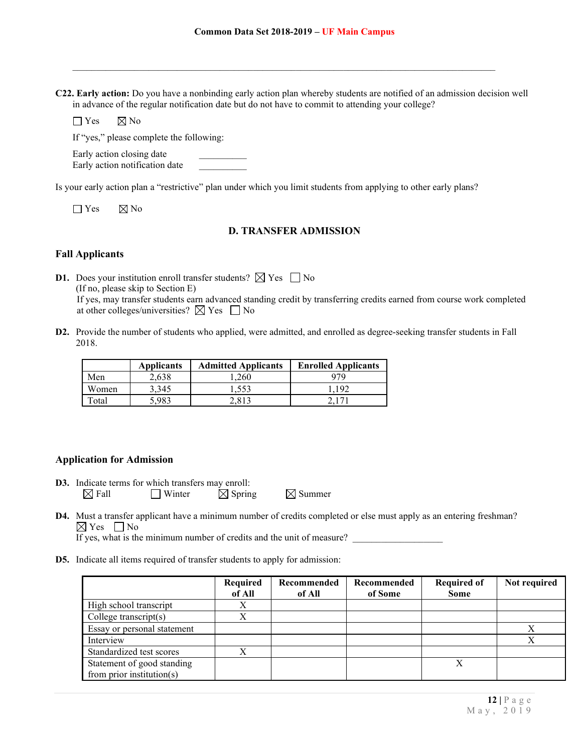**C22. Early action:** Do you have a nonbinding early action plan whereby students are notified of an admission decision well in advance of the regular notification date but do not have to commit to attending your college?

 $\mathcal{L}_\mathcal{L} = \{ \mathcal{L}_\mathcal{L} = \{ \mathcal{L}_\mathcal{L} = \{ \mathcal{L}_\mathcal{L} = \{ \mathcal{L}_\mathcal{L} = \{ \mathcal{L}_\mathcal{L} = \{ \mathcal{L}_\mathcal{L} = \{ \mathcal{L}_\mathcal{L} = \{ \mathcal{L}_\mathcal{L} = \{ \mathcal{L}_\mathcal{L} = \{ \mathcal{L}_\mathcal{L} = \{ \mathcal{L}_\mathcal{L} = \{ \mathcal{L}_\mathcal{L} = \{ \mathcal{L}_\mathcal{L} = \{ \mathcal{L}_\mathcal{$ 

 $\Box$  Yes  $\boxtimes$  No

If "yes," please complete the following:

Early action closing date Early action notification date

Is your early action plan a "restrictive" plan under which you limit students from applying to other early plans?

 $\Box$  Yes  $\Box$  No

## **D. TRANSFER ADMISSION**

## **Fall Applicants**

**D1.** Does your institution enroll transfer students?  $\boxtimes$  Yes  $\Box$  No (If no, please skip to Section E) If yes, may transfer students earn advanced standing credit by transferring credits earned from course work completed at other colleges/universities?  $\boxtimes$  Yes  $\Box$  No

**D2.** Provide the number of students who applied, were admitted, and enrolled as degree-seeking transfer students in Fall 2018.

|       | <b>Applicants</b> | <b>Admitted Applicants</b> | <b>Enrolled Applicants</b> |
|-------|-------------------|----------------------------|----------------------------|
| Men   | 2.638             | 1.260                      | 979                        |
| Women | 3.345             | 1,553                      | 1.192                      |
| Total | 5.983             | 2.813                      |                            |

### **Application for Admission**

**D3.** Indicate terms for which transfers may enroll:  $\boxtimes$  Fall  $\Box$  Winter  $\boxtimes$  Spring  $\boxtimes$  Summer

**D4.** Must a transfer applicant have a minimum number of credits completed or else must apply as an entering freshman?  $\boxtimes$  Yes  $\Box$  No

If yes, what is the minimum number of credits and the unit of measure?

**D5.** Indicate all items required of transfer students to apply for admission:

|                               | Required<br>of All | Recommended<br>of All | Recommended<br>of Some | <b>Required of</b><br><b>Some</b> | Not required |
|-------------------------------|--------------------|-----------------------|------------------------|-----------------------------------|--------------|
| High school transcript        | Х                  |                       |                        |                                   |              |
| College transcript $(s)$      | Χ                  |                       |                        |                                   |              |
| Essay or personal statement   |                    |                       |                        |                                   |              |
| Interview                     |                    |                       |                        |                                   |              |
| Standardized test scores      |                    |                       |                        |                                   |              |
| Statement of good standing    |                    |                       |                        |                                   |              |
| from prior institution( $s$ ) |                    |                       |                        |                                   |              |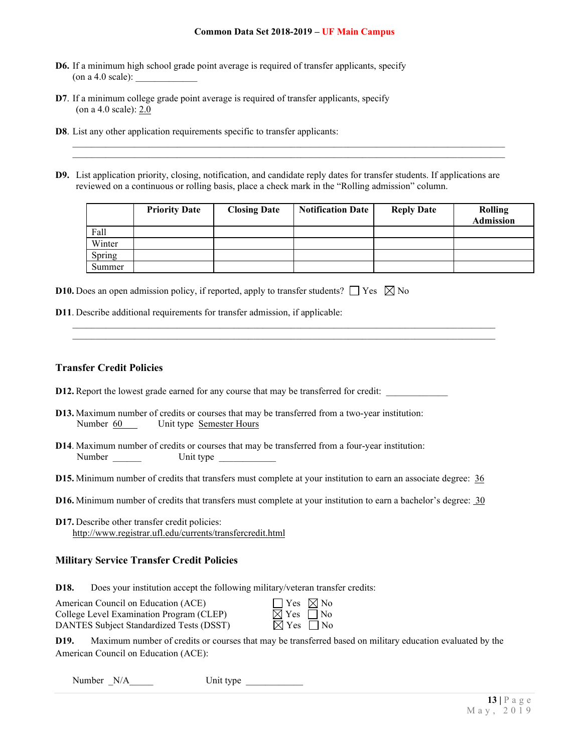- **D6.** If a minimum high school grade point average is required of transfer applicants, specify (on a 4.0 scale):
- **D7**. If a minimum college grade point average is required of transfer applicants, specify (on a 4.0 scale): 2.0
- **D8**. List any other application requirements specific to transfer applicants:
- **D9.** List application priority, closing, notification, and candidate reply dates for transfer students. If applications are reviewed on a continuous or rolling basis, place a check mark in the "Rolling admission" column.

\_\_\_\_\_\_\_\_\_\_\_\_\_\_\_\_\_\_\_\_\_\_\_\_\_\_\_\_\_\_\_\_\_\_\_\_\_\_\_\_\_\_\_\_\_\_\_\_\_\_\_\_\_\_\_\_\_\_\_\_\_\_\_\_\_\_\_\_\_\_\_\_\_\_\_\_\_\_\_\_\_\_\_\_\_\_\_\_\_  $\mathcal{L}_\mathcal{L} = \{ \mathcal{L}_\mathcal{L} = \{ \mathcal{L}_\mathcal{L} = \{ \mathcal{L}_\mathcal{L} = \{ \mathcal{L}_\mathcal{L} = \{ \mathcal{L}_\mathcal{L} = \{ \mathcal{L}_\mathcal{L} = \{ \mathcal{L}_\mathcal{L} = \{ \mathcal{L}_\mathcal{L} = \{ \mathcal{L}_\mathcal{L} = \{ \mathcal{L}_\mathcal{L} = \{ \mathcal{L}_\mathcal{L} = \{ \mathcal{L}_\mathcal{L} = \{ \mathcal{L}_\mathcal{L} = \{ \mathcal{L}_\mathcal{$ 

 $\mathcal{L}_\mathcal{L} = \{ \mathcal{L}_\mathcal{L} = \{ \mathcal{L}_\mathcal{L} = \{ \mathcal{L}_\mathcal{L} = \{ \mathcal{L}_\mathcal{L} = \{ \mathcal{L}_\mathcal{L} = \{ \mathcal{L}_\mathcal{L} = \{ \mathcal{L}_\mathcal{L} = \{ \mathcal{L}_\mathcal{L} = \{ \mathcal{L}_\mathcal{L} = \{ \mathcal{L}_\mathcal{L} = \{ \mathcal{L}_\mathcal{L} = \{ \mathcal{L}_\mathcal{L} = \{ \mathcal{L}_\mathcal{L} = \{ \mathcal{L}_\mathcal{$ \_\_\_\_\_\_\_\_\_\_\_\_\_\_\_\_\_\_\_\_\_\_\_\_\_\_\_\_\_\_\_\_\_\_\_\_\_\_\_\_\_\_\_\_\_\_\_\_\_\_\_\_\_\_\_\_\_\_\_\_\_\_\_\_\_\_\_\_\_\_\_\_\_\_\_\_\_\_\_\_\_\_\_\_\_\_\_\_\_\_\_

|        | <b>Priority Date</b> | <b>Closing Date</b> | <b>Notification Date</b> | <b>Reply Date</b> | Rolling<br><b>Admission</b> |
|--------|----------------------|---------------------|--------------------------|-------------------|-----------------------------|
| Fall   |                      |                     |                          |                   |                             |
| Winter |                      |                     |                          |                   |                             |
| Spring |                      |                     |                          |                   |                             |
| Summer |                      |                     |                          |                   |                             |

| <b>D10.</b> Does an open admission policy, if reported, apply to transfer students? $\Box$ Yes $\boxtimes$ No |  |  |  |  |  |  |
|---------------------------------------------------------------------------------------------------------------|--|--|--|--|--|--|
|---------------------------------------------------------------------------------------------------------------|--|--|--|--|--|--|

**D11**. Describe additional requirements for transfer admission, if applicable:

## **Transfer Credit Policies**

- **D12.** Report the lowest grade earned for any course that may be transferred for credit: \_\_\_\_\_\_\_\_\_\_\_
- **D13.** Maximum number of credits or courses that may be transferred from a two-year institution: Number 60 Unit type Semester Hours
- **D14**. Maximum number of credits or courses that may be transferred from a four-year institution: Number Unit type
- **D15.** Minimum number of credits that transfers must complete at your institution to earn an associate degree: 36
- **D16.** Minimum number of credits that transfers must complete at your institution to earn a bachelor's degree: 30
- **D17.** Describe other transfer credit policies: http://www.registrar.ufl.edu/currents/transfercredit.html

## **Military Service Transfer Credit Policies**

**D18.** Does your institution accept the following military/veteran transfer credits:

| American Council on Education (ACE)      | $\vert$   Yes $\boxtimes$ No |  |
|------------------------------------------|------------------------------|--|
| College Level Examination Program (CLEP) | $\boxtimes$ Yes $\Box$ No    |  |
| DANTES Subject Standardized Tests (DSST) | $\boxtimes$ Yes $\Box$ No    |  |

| Yes             | ⊠ Nc      |
|-----------------|-----------|
| $\boxtimes$ Yes | $\Box$ No |
| $\boxtimes$ Yes | ] No      |

**D19.** Maximum number of credits or courses that may be transferred based on military education evaluated by the American Council on Education (ACE):

Number \_N/A\_\_\_\_\_ Unit type \_\_\_\_\_\_\_\_\_\_\_\_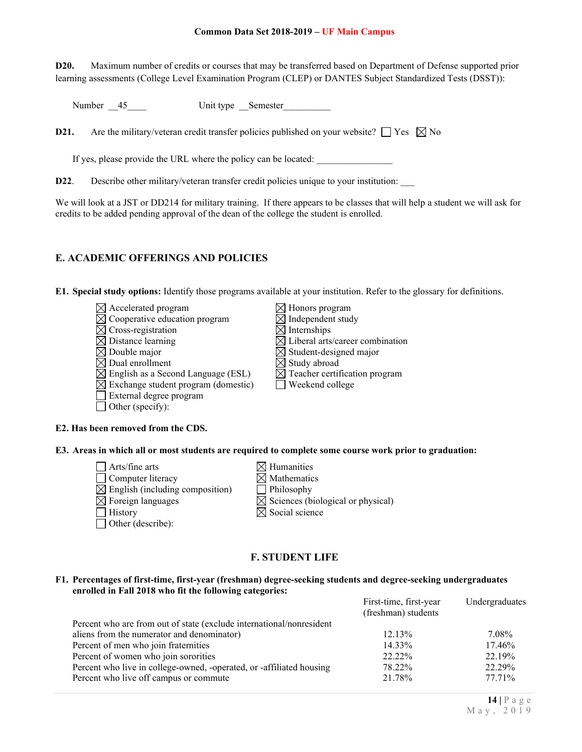**D20.** Maximum number of credits or courses that may be transferred based on Department of Defense supported prior learning assessments (College Level Examination Program (CLEP) or DANTES Subject Standardized Tests (DSST)):

Number 45 Unit type Semester

**D21.** Are the military/veteran credit transfer policies published on your website?  $\Box$  Yes  $\boxtimes$  No

If yes, please provide the URL where the policy can be located:

**D22.** Describe other military/veteran transfer credit policies unique to your institution:

We will look at a JST or DD214 for military training. If there appears to be classes that will help a student we will ask for credits to be added pending approval of the dean of the college the student is enrolled.

## **E. ACADEMIC OFFERINGS AND POLICIES**

**E1. Special study options:** Identify those programs available at your institution. Refer to the glossary for definitions.

- $\boxtimes$  Accelerated program  $\boxtimes$  Honors program  $\boxtimes$  Honors program  $\boxtimes$  Independent study  $\boxtimes$  Cooperative education program  $\boxtimes$  Independent  $\boxtimes$  Internships  $\boxtimes$  Cross-registration  $\boxtimes$  Distance learning  $\boxtimes$  Liberal arts/career combination  $\boxtimes$  Double major  $\boxtimes$  Student-designed major  $\boxtimes$  Double major<br>  $\boxtimes$  Dual enrollment<br>  $\boxtimes$  Study abroad<br>  $\boxtimes$  Study abroad  $\boxtimes$  English as a Second Language (ESL)  $\boxtimes$  Teacher certification program  $\boxtimes$  Exchange student program (domestic)  $\Box$  Weekend college External degree program  $\Box$  Other (specify):
- $\overline{\boxtimes}$  Study abroad

### **E2. Has been removed from the CDS.**

**E3. Areas in which all or most students are required to complete some course work prior to graduation:**

- $\Box$  Arts/fine arts  $\boxtimes$  Humanities  $\Box$  Computer literacy  $\boxtimes$  Mathematics  $\boxtimes$  English (including composition) Philosophy  $\boxtimes$  Foreign languages  $\boxtimes$  Sciences (biological or physical)  $\Box$  History  $\boxtimes$  Social science Other (describe):
- -
	-
	-
	-

## **F. STUDENT LIFE**

#### **F1. Percentages of first-time, first-year (freshman) degree-seeking students and degree-seeking undergraduates enrolled in Fall 2018 who fit the following categories:**

| First-time, first-year<br>(freshman) students | Undergraduates |
|-----------------------------------------------|----------------|
|                                               |                |
| $12.13\%$                                     | 7.08%          |
| 14.33%                                        | 17.46%         |
| 22.22%                                        | 22.19%         |
| 78.22%                                        | 22.29%         |
| 21.78%                                        | 77.71%         |
|                                               |                |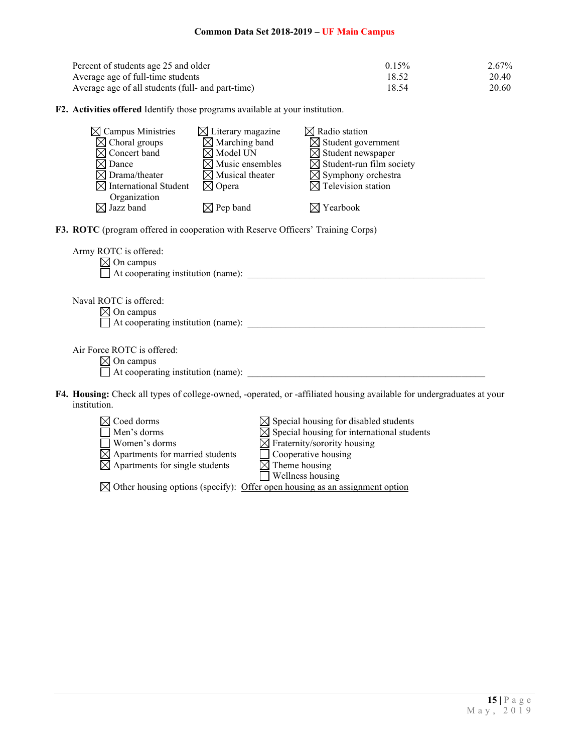| Percent of students age 25 and older              | 0.15% | 2.67% |
|---------------------------------------------------|-------|-------|
| Average age of full-time students                 | 18.52 | 20.40 |
| Average age of all students (full- and part-time) | 18.54 | 20.60 |

**F2. Activities offered** Identify those programs available at your institution.

| $\boxtimes$ Campus Ministries<br>$\boxtimes$ Choral groups<br>Concert band<br>$\times$ l<br>$\times$ l Dance<br>$\boxtimes$ Drama/theater<br><b>International Student</b><br>M<br>Organization | $\boxtimes$ Literary magazine<br>$\boxtimes$ Marching band<br>$\boxtimes$ Model UN<br>$\boxtimes$ Music ensembles<br>$\boxtimes$ Musical theater<br>$\boxtimes$ Opera | $\boxtimes$ Radio station<br>$\boxtimes$ Student government<br>$\boxtimes$ Student newspaper<br>$\boxtimes$ Student-run film society<br>$\boxtimes$ Symphony orchestra<br>$\boxtimes$ Television station                       |  |
|------------------------------------------------------------------------------------------------------------------------------------------------------------------------------------------------|-----------------------------------------------------------------------------------------------------------------------------------------------------------------------|--------------------------------------------------------------------------------------------------------------------------------------------------------------------------------------------------------------------------------|--|
| $\boxtimes$ Jazz band                                                                                                                                                                          | $\boxtimes$ Pep band                                                                                                                                                  | $\boxtimes$ Yearbook                                                                                                                                                                                                           |  |
| F3. ROTC (program offered in cooperation with Reserve Officers' Training Corps)                                                                                                                |                                                                                                                                                                       |                                                                                                                                                                                                                                |  |
| Army ROTC is offered:<br>$\boxtimes$ On campus                                                                                                                                                 |                                                                                                                                                                       |                                                                                                                                                                                                                                |  |
| Naval ROTC is offered:<br>$\boxtimes$ On campus                                                                                                                                                |                                                                                                                                                                       | At cooperating institution (name): Note that the set of the set of the set of the set of the set of the set of the set of the set of the set of the set of the set of the set of the set of the set of the set of the set of t |  |
| Air Force ROTC is offered:<br>$\boxtimes$ On campus                                                                                                                                            |                                                                                                                                                                       |                                                                                                                                                                                                                                |  |
| institution.                                                                                                                                                                                   |                                                                                                                                                                       | F4. Housing: Check all types of college-owned, -operated, or -affiliated housing available for undergraduates at your                                                                                                          |  |
| $\boxtimes$ Coed dorms<br>Men's dorms<br>Women's dorms                                                                                                                                         |                                                                                                                                                                       | $\boxtimes$ Special housing for disabled students<br>$\boxtimes$ Special housing for international students<br>$\boxtimes$ Fraternity/sorority housing                                                                         |  |

|                                 | $\sum$                                 |
|---------------------------------|----------------------------------------|
| Women's dorms                   | $\boxtimes$ Fraternity/sorority housin |
| Apartments for married students | $\Box$ Cooperative housing             |

- Apartments for single students  $\boxtimes$  Theme housing  $\Box$  Cooperative housing<br> $\Box$  Theme housing<br> $\Box$  Wellness housing
	-

 $\boxtimes$  Other housing options (specify): Offer open housing as an assignment option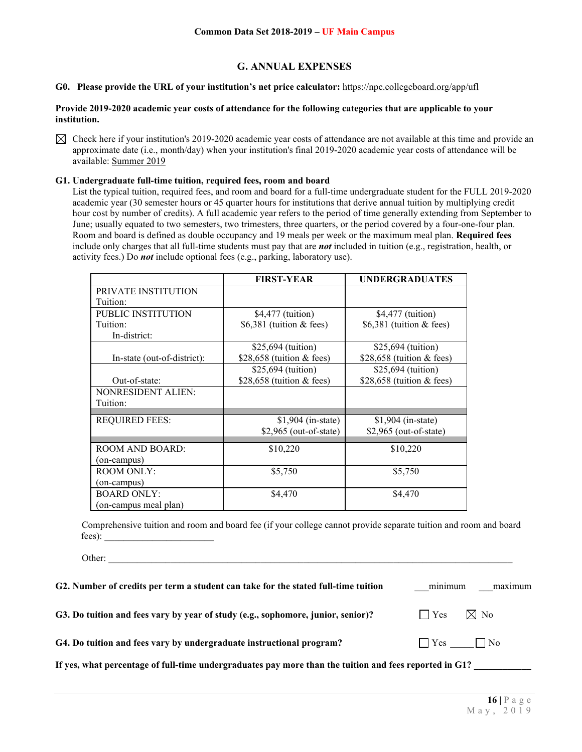## **G. ANNUAL EXPENSES**

### **G0. Please provide the URL of your institution's net price calculator:** <https://npc.collegeboard.org/app/ufl>

#### **Provide 2019-2020 academic year costs of attendance for the following categories that are applicable to your institution.**

 $\boxtimes$  Check here if your institution's 2019-2020 academic year costs of attendance are not available at this time and provide an approximate date (i.e., month/day) when your institution's final 2019-2020 academic year costs of attendance will be available: Summer 2019

#### **G1. Undergraduate full-time tuition, required fees, room and board**

Other:

List the typical tuition, required fees, and room and board for a full-time undergraduate student for the FULL 2019-2020 academic year (30 semester hours or 45 quarter hours for institutions that derive annual tuition by multiplying credit hour cost by number of credits). A full academic year refers to the period of time generally extending from September to June; usually equated to two semesters, two trimesters, three quarters, or the period covered by a four-one-four plan. Room and board is defined as double occupancy and 19 meals per week or the maximum meal plan. **Required fees** include only charges that all full-time students must pay that are *not* included in tuition (e.g., registration, health, or activity fees.) Do *not* include optional fees (e.g., parking, laboratory use).

|                             | <b>FIRST-YEAR</b>           | <b>UNDERGRADUATES</b>      |
|-----------------------------|-----------------------------|----------------------------|
| PRIVATE INSTITUTION         |                             |                            |
| Tuition:                    |                             |                            |
| PUBLIC INSTITUTION          | \$4,477 (tuition)           | \$4,477 (tuition)          |
| Tuition:                    | \$6,381 (tuition $&$ fees)  | \$6,381 (tuition $&$ fees) |
| In-district:                |                             |                            |
|                             | $$25,694$ (tuition)         | \$25,694 (tuition)         |
| In-state (out-of-district): | \$28,658 (tuition $&$ fees) | \$28,658 (tuition & fees)  |
|                             | $$25,694$ (tuition)         | \$25,694 (tuition)         |
| Out-of-state:               | \$28,658 (tuition $&$ fees) | \$28,658 (tuition & fees)  |
| <b>NONRESIDENT ALIEN:</b>   |                             |                            |
| Tuition:                    |                             |                            |
| <b>REQUIRED FEES:</b>       | $$1,904$ (in-state)         | $$1,904$ (in-state)        |
|                             | $$2,965$ (out-of-state)     | $$2,965$ (out-of-state)    |
|                             |                             |                            |
| <b>ROOM AND BOARD:</b>      | \$10,220                    | \$10,220                   |
| (on-campus)                 |                             |                            |
| <b>ROOM ONLY:</b>           | \$5,750                     | \$5,750                    |
| (on-campus)                 |                             |                            |
| <b>BOARD ONLY:</b>          | \$4,470                     | \$4,470                    |
| (on-campus meal plan)       |                             |                            |

Comprehensive tuition and room and board fee (if your college cannot provide separate tuition and room and board fees): \_\_\_\_\_\_\_\_\_\_\_\_\_\_\_\_\_\_\_\_\_\_\_

**G2. Number of credits per term a student can take for the stated full-time tuition** \_\_\_minimum \_\_\_maximum **G3.** Do tuition and fees vary by year of study (e.g., sophomore, junior, senior)?  $\Box$  Yes  $\Box$  No **G4.** Do tuition and fees vary by undergraduate instructional program?  $\Box$  Yes  $\Box$  No If yes, what percentage of full-time undergraduates pay more than the tuition and fees reported in G1?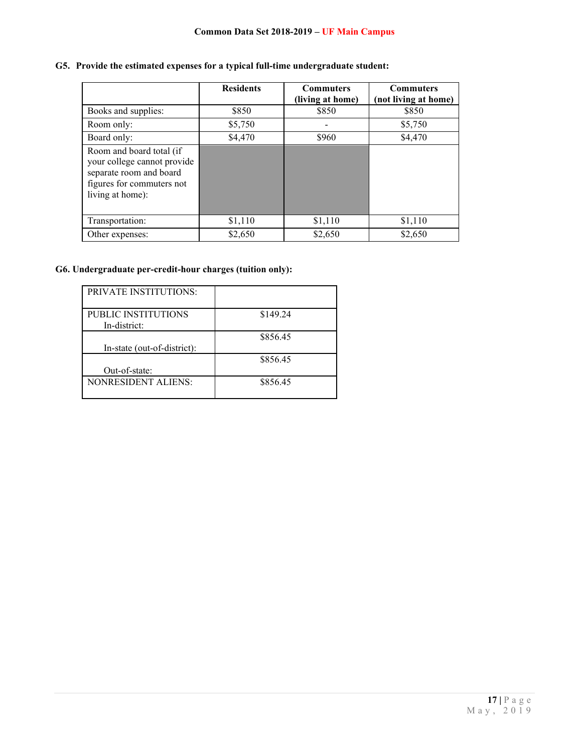## **G5. Provide the estimated expenses for a typical full-time undergraduate student:**

|                                                                                                                                     | <b>Residents</b> | <b>Commuters</b><br>(living at home) | <b>Commuters</b><br>(not living at home) |
|-------------------------------------------------------------------------------------------------------------------------------------|------------------|--------------------------------------|------------------------------------------|
| Books and supplies:                                                                                                                 | \$850            | \$850                                | \$850                                    |
| Room only:                                                                                                                          | \$5,750          |                                      | \$5,750                                  |
| Board only:                                                                                                                         | \$4,470          | \$960                                | \$4,470                                  |
| Room and board total (if<br>your college cannot provide<br>separate room and board<br>figures for commuters not<br>living at home): |                  |                                      |                                          |
| Transportation:                                                                                                                     | \$1,110          | \$1,110                              | \$1,110                                  |
| Other expenses:                                                                                                                     | \$2,650          | \$2,650                              | \$2,650                                  |

## **G6. Undergraduate per-credit-hour charges (tuition only):**

| <b>PRIVATE INSTITUTIONS:</b> |          |
|------------------------------|----------|
|                              |          |
| PUBLIC INSTITUTIONS          | \$149.24 |
| In-district:                 |          |
|                              | \$856.45 |
| In-state (out-of-district):  |          |
|                              | \$856.45 |
| Out-of-state:                |          |
| NONRESIDENT ALIENS:          | \$856.45 |
|                              |          |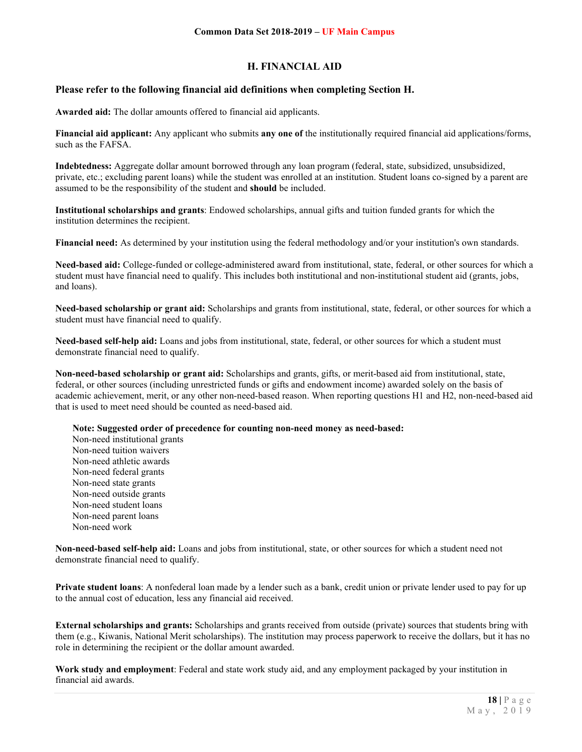## **H. FINANCIAL AID**

## **Please refer to the following financial aid definitions when completing Section H.**

**Awarded aid:** The dollar amounts offered to financial aid applicants.

**Financial aid applicant:** Any applicant who submits **any one of** the institutionally required financial aid applications/forms, such as the FAFSA.

**Indebtedness:** Aggregate dollar amount borrowed through any loan program (federal, state, subsidized, unsubsidized, private, etc.; excluding parent loans) while the student was enrolled at an institution. Student loans co-signed by a parent are assumed to be the responsibility of the student and **should** be included.

**Institutional scholarships and grants**: Endowed scholarships, annual gifts and tuition funded grants for which the institution determines the recipient.

**Financial need:** As determined by your institution using the federal methodology and/or your institution's own standards.

**Need-based aid:** College-funded or college-administered award from institutional, state, federal, or other sources for which a student must have financial need to qualify. This includes both institutional and non-institutional student aid (grants, jobs, and loans).

**Need-based scholarship or grant aid:** Scholarships and grants from institutional, state, federal, or other sources for which a student must have financial need to qualify.

**Need-based self-help aid:** Loans and jobs from institutional, state, federal, or other sources for which a student must demonstrate financial need to qualify.

**Non-need-based scholarship or grant aid:** Scholarships and grants, gifts, or merit-based aid from institutional, state, federal, or other sources (including unrestricted funds or gifts and endowment income) awarded solely on the basis of academic achievement, merit, or any other non-need-based reason. When reporting questions H1 and H2, non-need-based aid that is used to meet need should be counted as need-based aid.

**Note: Suggested order of precedence for counting non-need money as need-based:**

Non-need institutional grants Non-need tuition waivers Non-need athletic awards Non-need federal grants Non-need state grants Non-need outside grants Non-need student loans Non-need parent loans Non-need work

**Non-need-based self-help aid:** Loans and jobs from institutional, state, or other sources for which a student need not demonstrate financial need to qualify.

**Private student loans**: A nonfederal loan made by a lender such as a bank, credit union or private lender used to pay for up to the annual cost of education, less any financial aid received.

**External scholarships and grants:** Scholarships and grants received from outside (private) sources that students bring with them (e.g., Kiwanis, National Merit scholarships). The institution may process paperwork to receive the dollars, but it has no role in determining the recipient or the dollar amount awarded.

**Work study and employment**: Federal and state work study aid, and any employment packaged by your institution in financial aid awards.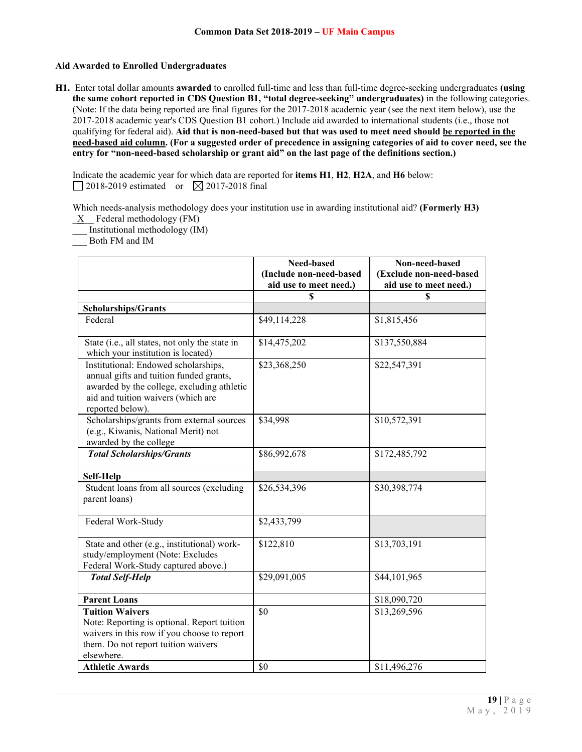## **Aid Awarded to Enrolled Undergraduates**

**H1.** Enter total dollar amounts **awarded** to enrolled full-time and less than full-time degree-seeking undergraduates **(using the same cohort reported in CDS Question B1, "total degree-seeking" undergraduates)** in the following categories. (Note: If the data being reported are final figures for the 2017-2018 academic year (see the next item below), use the 2017-2018 academic year's CDS Question B1 cohort.) Include aid awarded to international students (i.e., those not qualifying for federal aid). **Aid that is non-need-based but that was used to meet need should be reported in the need-based aid column. (For a suggested order of precedence in assigning categories of aid to cover need, see the entry for "non-need-based scholarship or grant aid" on the last page of the definitions section.)**

Indicate the academic year for which data are reported for **items H1**, **H2**, **H2A**, and **H6** below:  $\Box$  2018-2019 estimated or  $\boxtimes$  2017-2018 final

Which needs-analysis methodology does your institution use in awarding institutional aid? **(Formerly H3)**

 $\underline{X}$  Federal methodology (FM) \_\_\_ Institutional methodology (IM)

\_\_\_ Both FM and IM

|                                                                                                                                                                                         | Need-based<br>(Include non-need-based | Non-need-based<br>(Exclude non-need-based |
|-----------------------------------------------------------------------------------------------------------------------------------------------------------------------------------------|---------------------------------------|-------------------------------------------|
|                                                                                                                                                                                         | aid use to meet need.)                | aid use to meet need.)                    |
|                                                                                                                                                                                         | S                                     | S                                         |
| <b>Scholarships/Grants</b>                                                                                                                                                              |                                       |                                           |
| Federal                                                                                                                                                                                 | \$49,114,228                          | \$1,815,456                               |
| State (i.e., all states, not only the state in<br>which your institution is located)                                                                                                    | \$14,475,202                          | \$137,550,884                             |
| Institutional: Endowed scholarships,<br>annual gifts and tuition funded grants,<br>awarded by the college, excluding athletic<br>aid and tuition waivers (which are<br>reported below). | \$23,368,250                          | \$22,547,391                              |
| Scholarships/grants from external sources<br>(e.g., Kiwanis, National Merit) not<br>awarded by the college                                                                              | \$34,998                              | \$10,572,391                              |
| <b>Total Scholarships/Grants</b>                                                                                                                                                        | \$86,992,678                          | \$172,485,792                             |
| Self-Help                                                                                                                                                                               |                                       |                                           |
| Student loans from all sources (excluding<br>parent loans)                                                                                                                              | \$26,534,396                          | \$30,398,774                              |
| Federal Work-Study                                                                                                                                                                      | \$2,433,799                           |                                           |
| State and other (e.g., institutional) work-<br>study/employment (Note: Excludes<br>Federal Work-Study captured above.)                                                                  | \$122,810                             | \$13,703,191                              |
| <b>Total Self-Help</b>                                                                                                                                                                  | \$29,091,005                          | \$44,101,965                              |
| <b>Parent Loans</b>                                                                                                                                                                     |                                       | \$18,090,720                              |
| <b>Tuition Waivers</b><br>Note: Reporting is optional. Report tuition<br>waivers in this row if you choose to report<br>them. Do not report tuition waivers<br>elsewhere.               | \$0                                   | \$13,269,596                              |
| <b>Athletic Awards</b>                                                                                                                                                                  | \$0                                   | \$11,496,276                              |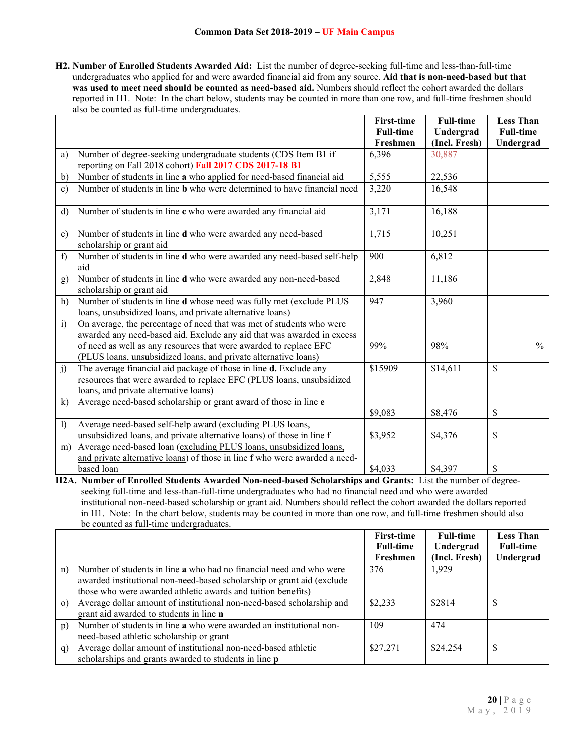**H2. Number of Enrolled Students Awarded Aid:** List the number of degree-seeking full-time and less-than-full-time undergraduates who applied for and were awarded financial aid from any source. **Aid that is non-need-based but that was used to meet need should be counted as need-based aid.** Numbers should reflect the cohort awarded the dollars reported in H1. Note: In the chart below, students may be counted in more than one row, and full-time freshmen should also be counted as full-time undergraduates.

|              |                                                                                | <b>First-time</b> | <b>Full-time</b> | <b>Less Than</b> |
|--------------|--------------------------------------------------------------------------------|-------------------|------------------|------------------|
|              |                                                                                | <b>Full-time</b>  | Undergrad        | <b>Full-time</b> |
|              |                                                                                | Freshmen          | (Incl. Fresh)    | Undergrad        |
| a)           | Number of degree-seeking undergraduate students (CDS Item B1 if                | 6,396             | 30,887           |                  |
|              | reporting on Fall 2018 cohort) Fall 2017 CDS 2017-18 B1                        |                   |                  |                  |
| $\mathbf{b}$ | Number of students in line a who applied for need-based financial aid          | 5,555             | 22,536           |                  |
| $\mathbf{c}$ | Number of students in line <b>b</b> who were determined to have financial need | 3,220             | 16,548           |                  |
|              |                                                                                |                   |                  |                  |
| d)           | Number of students in line c who were awarded any financial aid                | 3,171             | 16,188           |                  |
|              |                                                                                |                   |                  |                  |
| e)           | Number of students in line d who were awarded any need-based                   | 1,715             | 10,251           |                  |
|              | scholarship or grant aid                                                       |                   |                  |                  |
| f            | Number of students in line d who were awarded any need-based self-help         | 900               | 6,812            |                  |
|              | aid                                                                            |                   |                  |                  |
| g)           | Number of students in line d who were awarded any non-need-based               | 2,848             | 11,186           |                  |
|              | scholarship or grant aid                                                       |                   |                  |                  |
| h)           | Number of students in line d whose need was fully met (exclude PLUS            | 947               | 3,960            |                  |
|              | loans, unsubsidized loans, and private alternative loans)                      |                   |                  |                  |
| $\mathbf{i}$ | On average, the percentage of need that was met of students who were           |                   |                  |                  |
|              | awarded any need-based aid. Exclude any aid that was awarded in excess         |                   |                  |                  |
|              | of need as well as any resources that were awarded to replace EFC              | 99%               | 98%              | $\frac{0}{0}$    |
|              | (PLUS loans, unsubsidized loans, and private alternative loans)                |                   |                  |                  |
| j)           | The average financial aid package of those in line d. Exclude any              | \$15909           | \$14,611         | \$               |
|              | resources that were awarded to replace EFC (PLUS loans, unsubsidized           |                   |                  |                  |
|              | loans, and private alternative loans)                                          |                   |                  |                  |
| $\bf k)$     | Average need-based scholarship or grant award of those in line e               |                   |                  |                  |
|              |                                                                                | \$9,083           | \$8,476          | \$               |
| $\mathbf{I}$ | Average need-based self-help award (excluding PLUS loans,                      |                   |                  |                  |
|              | unsubsidized loans, and private alternative loans) of those in line f          | \$3,952           | \$4,376          | \$               |
| m)           | Average need-based loan (excluding PLUS loans, unsubsidized loans,             |                   |                  |                  |
|              | and private alternative loans) of those in line f who were awarded a need-     |                   |                  |                  |
|              | based loan                                                                     | \$4,033           | \$4,397          | \$               |

**H2A. Number of Enrolled Students Awarded Non-need-based Scholarships and Grants:** List the number of degreeseeking full-time and less-than-full-time undergraduates who had no financial need and who were awarded institutional non-need-based scholarship or grant aid. Numbers should reflect the cohort awarded the dollars reported in H1. Note: In the chart below, students may be counted in more than one row, and full-time freshmen should also be counted as full-time undergraduates.

|           |                                                                                                                                                                                                               | <b>First-time</b> | <b>Full-time</b> | <b>Less Than</b> |
|-----------|---------------------------------------------------------------------------------------------------------------------------------------------------------------------------------------------------------------|-------------------|------------------|------------------|
|           |                                                                                                                                                                                                               | <b>Full-time</b>  | Undergrad        | <b>Full-time</b> |
|           |                                                                                                                                                                                                               | Freshmen          | (Incl. Fresh)    | Undergrad        |
| n)        | Number of students in line a who had no financial need and who were<br>awarded institutional non-need-based scholarship or grant aid (exclude<br>those who were awarded athletic awards and tuition benefits) | 376               | 1,929            |                  |
| $\circ$ ) | Average dollar amount of institutional non-need-based scholarship and<br>grant aid awarded to students in line n                                                                                              | \$2,233           | \$2814           | S                |
| p)        | Number of students in line a who were awarded an institutional non-<br>need-based athletic scholarship or grant                                                                                               | 109               | 474              |                  |
| q)        | Average dollar amount of institutional non-need-based athletic<br>scholarships and grants awarded to students in line p                                                                                       | \$27,271          | \$24,254         | <sup>\$</sup>    |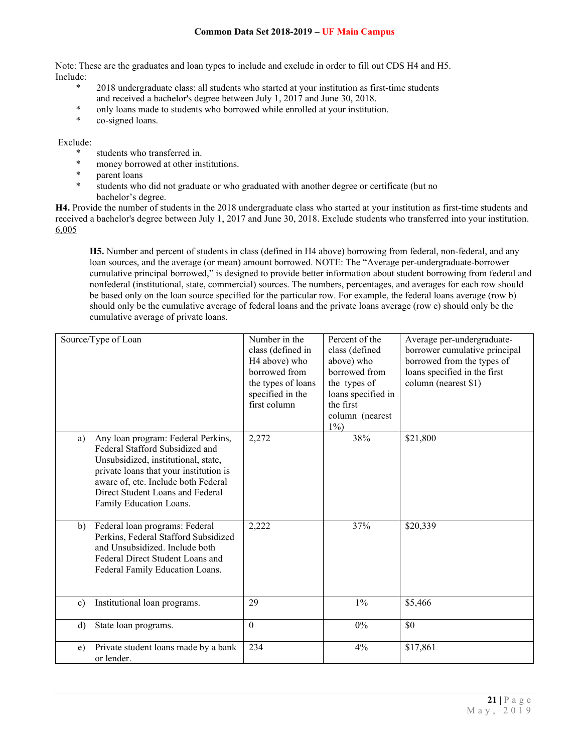Note: These are the graduates and loan types to include and exclude in order to fill out CDS H4 and H5. Include:

- \* 2018 undergraduate class: all students who started at your institution as first-time students and received a bachelor's degree between July 1, 2017 and June 30, 2018.
- \* only loans made to students who borrowed while enrolled at your institution.<br>\* co-signed loans
- co-signed loans.

### Exclude:

- \* students who transferred in.
- \* money borrowed at other institutions.
- parent loans
- \* students who did not graduate or who graduated with another degree or certificate (but no bachelor's degree.

**H4.** Provide the number of students in the 2018 undergraduate class who started at your institution as first-time students and received a bachelor's degree between July 1, 2017 and June 30, 2018. Exclude students who transferred into your institution. 6,005

**H5.** Number and percent of students in class (defined in H4 above) borrowing from federal, non-federal, and any loan sources, and the average (or mean) amount borrowed. NOTE: The "Average per-undergraduate-borrower cumulative principal borrowed," is designed to provide better information about student borrowing from federal and nonfederal (institutional, state, commercial) sources. The numbers, percentages, and averages for each row should be based only on the loan source specified for the particular row. For example, the federal loans average (row b) should only be the cumulative average of federal loans and the private loans average (row e) should only be the cumulative average of private loans.

| Source/Type of Loan                                                                                                                                                                                                                                                | Number in the<br>class (defined in<br>H <sub>4</sub> above) who<br>borrowed from<br>the types of loans<br>specified in the<br>first column | Percent of the<br>class (defined<br>above) who<br>borrowed from<br>the types of<br>loans specified in<br>the first<br>column (nearest<br>$1\%$ | Average per-undergraduate-<br>borrower cumulative principal<br>borrowed from the types of<br>loans specified in the first<br>column (nearest \$1) |
|--------------------------------------------------------------------------------------------------------------------------------------------------------------------------------------------------------------------------------------------------------------------|--------------------------------------------------------------------------------------------------------------------------------------------|------------------------------------------------------------------------------------------------------------------------------------------------|---------------------------------------------------------------------------------------------------------------------------------------------------|
| Any loan program: Federal Perkins,<br>a)<br>Federal Stafford Subsidized and<br>Unsubsidized, institutional, state,<br>private loans that your institution is<br>aware of, etc. Include both Federal<br>Direct Student Loans and Federal<br>Family Education Loans. | 2,272                                                                                                                                      | 38%                                                                                                                                            | \$21,800                                                                                                                                          |
| Federal loan programs: Federal<br>b)<br>Perkins, Federal Stafford Subsidized<br>and Unsubsidized. Include both<br>Federal Direct Student Loans and<br>Federal Family Education Loans.                                                                              | 2,222                                                                                                                                      | 37%                                                                                                                                            | \$20,339                                                                                                                                          |
| Institutional loan programs.<br>$\mathbf{c}$                                                                                                                                                                                                                       | 29                                                                                                                                         | $1\%$                                                                                                                                          | \$5,466                                                                                                                                           |
| State loan programs.<br>d)                                                                                                                                                                                                                                         | $\mathbf{0}$                                                                                                                               | $0\%$                                                                                                                                          | \$0                                                                                                                                               |
| Private student loans made by a bank<br>e)<br>or lender.                                                                                                                                                                                                           | 234                                                                                                                                        | 4%                                                                                                                                             | \$17,861                                                                                                                                          |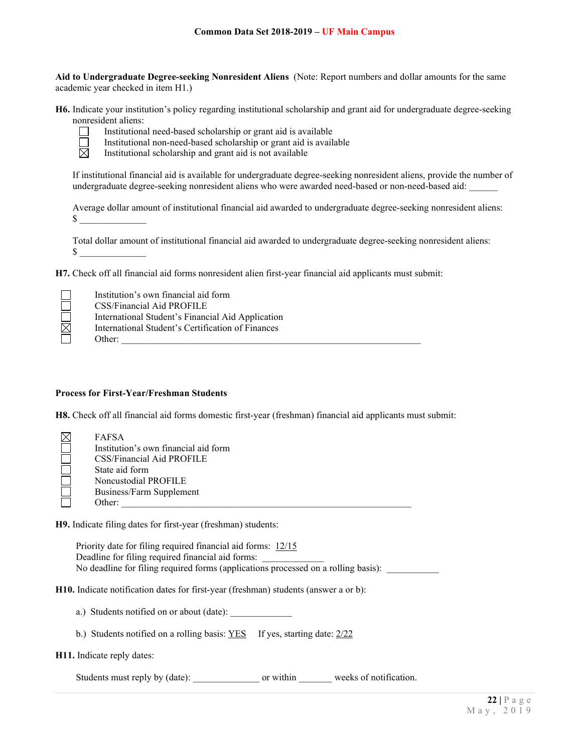**Aid to Undergraduate Degree-seeking Nonresident Aliens** (Note: Report numbers and dollar amounts for the same academic year checked in item H1.)

**H6.** Indicate your institution's policy regarding institutional scholarship and grant aid for undergraduate degree-seeking nonresident aliens:



- Institutional need-based scholarship or grant aid is available
- Institutional non-need-based scholarship or grant aid is available
- 岗 Institutional scholarship and grant aid is not available

If institutional financial aid is available for undergraduate degree-seeking nonresident aliens, provide the number of undergraduate degree-seeking nonresident aliens who were awarded need-based or non-need-based aid: \_\_\_\_\_\_

Average dollar amount of institutional financial aid awarded to undergraduate degree-seeking nonresident aliens:  $\sim$ 

Total dollar amount of institutional financial aid awarded to undergraduate degree-seeking nonresident aliens:  $\mathbb{S}$ 

**H7.** Check off all financial aid forms nonresident alien first-year financial aid applicants must submit:

| Institution's own financial aid form              |
|---------------------------------------------------|
| CSS/Financial Aid PROFILE                         |
| International Student's Financial Aid Application |
| International Student's Certification of Finances |
| Other:                                            |

#### **Process for First-Year/Freshman Students**

**H8.** Check off all financial aid forms domestic first-year (freshman) financial aid applicants must submit:

| <b>FAFSA</b>                         |
|--------------------------------------|
| Institution's own financial aid form |
| CSS/Financial Aid PROFILE            |
| State aid form                       |
| Noncustodial PROFILE                 |
| Business/Farm Supplement             |
| Other:                               |

**H9.** Indicate filing dates for first-year (freshman) students:

Priority date for filing required financial aid forms: 12/15 Deadline for filing required financial aid forms: No deadline for filing required forms (applications processed on a rolling basis):

**H10.** Indicate notification dates for first-year (freshman) students (answer a or b):

- a.) Students notified on or about (date):
- b.) Students notified on a rolling basis: YES If yes, starting date: 2/22

#### **H11.** Indicate reply dates:

Students must reply by (date): \_\_\_\_\_\_\_\_\_\_\_\_\_\_\_\_\_ or within weeks of notification.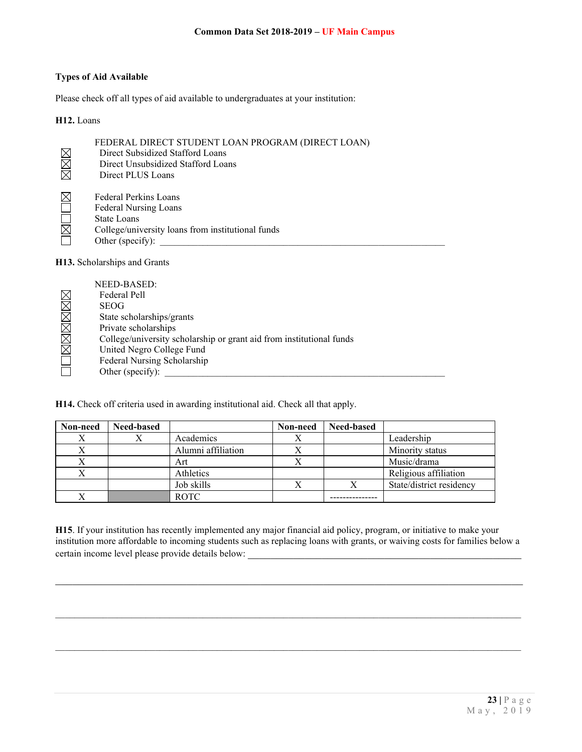## **Types of Aid Available**

Please check off all types of aid available to undergraduates at your institution:

#### **H12.** Loans

| ⊠⊠<br>$\boxtimes$ | FEDERAL DIRECT STUDENT LOAN PROGRAM (DIRECT LOAN)<br>Direct Subsidized Stafford Loans<br>Direct Unsubsidized Stafford Loans<br>Direct PLUS Loans |
|-------------------|--------------------------------------------------------------------------------------------------------------------------------------------------|
| IX<br>$\boxtimes$ | <b>Federal Perkins Loans</b><br>Federal Nursing Loans<br>State Loans<br>College/university loans from institutional funds<br>Other (specify):    |

#### **H13.** Scholarships and Grants

| NEED-BASED:                                                          |
|----------------------------------------------------------------------|
| Federal Pell                                                         |
| <b>SEOG</b>                                                          |
| State scholarships/grants                                            |
| Private scholarships                                                 |
| College/university scholarship or grant aid from institutional funds |
| United Negro College Fund                                            |
| Federal Nursing Scholarship                                          |
| Other (specify):                                                     |

**H14.** Check off criteria used in awarding institutional aid. Check all that apply.

| Non-need | <b>Need-based</b> |                    | Non-need | <b>Need-based</b> |                          |
|----------|-------------------|--------------------|----------|-------------------|--------------------------|
|          |                   | Academics          |          |                   | Leadership               |
|          |                   | Alumni affiliation |          |                   | Minority status          |
|          |                   | Art                |          |                   | Music/drama              |
| X        |                   | Athletics          |          |                   | Religious affiliation    |
|          |                   | Job skills         |          |                   | State/district residency |
|          |                   | <b>ROTC</b>        |          |                   |                          |

**H15**. If your institution has recently implemented any major financial aid policy, program, or initiative to make your institution more affordable to incoming students such as replacing loans with grants, or waiving costs for families below a certain income level please provide details below:

 $\mathcal{L}_\mathcal{L} = \mathcal{L}_\mathcal{L} = \mathcal{L}_\mathcal{L} = \mathcal{L}_\mathcal{L} = \mathcal{L}_\mathcal{L} = \mathcal{L}_\mathcal{L} = \mathcal{L}_\mathcal{L} = \mathcal{L}_\mathcal{L} = \mathcal{L}_\mathcal{L} = \mathcal{L}_\mathcal{L} = \mathcal{L}_\mathcal{L} = \mathcal{L}_\mathcal{L} = \mathcal{L}_\mathcal{L} = \mathcal{L}_\mathcal{L} = \mathcal{L}_\mathcal{L} = \mathcal{L}_\mathcal{L} = \mathcal{L}_\mathcal{L}$ 

 $\mathcal{L}_\mathcal{L} = \mathcal{L}_\mathcal{L} = \mathcal{L}_\mathcal{L} = \mathcal{L}_\mathcal{L} = \mathcal{L}_\mathcal{L} = \mathcal{L}_\mathcal{L} = \mathcal{L}_\mathcal{L} = \mathcal{L}_\mathcal{L} = \mathcal{L}_\mathcal{L} = \mathcal{L}_\mathcal{L} = \mathcal{L}_\mathcal{L} = \mathcal{L}_\mathcal{L} = \mathcal{L}_\mathcal{L} = \mathcal{L}_\mathcal{L} = \mathcal{L}_\mathcal{L} = \mathcal{L}_\mathcal{L} = \mathcal{L}_\mathcal{L}$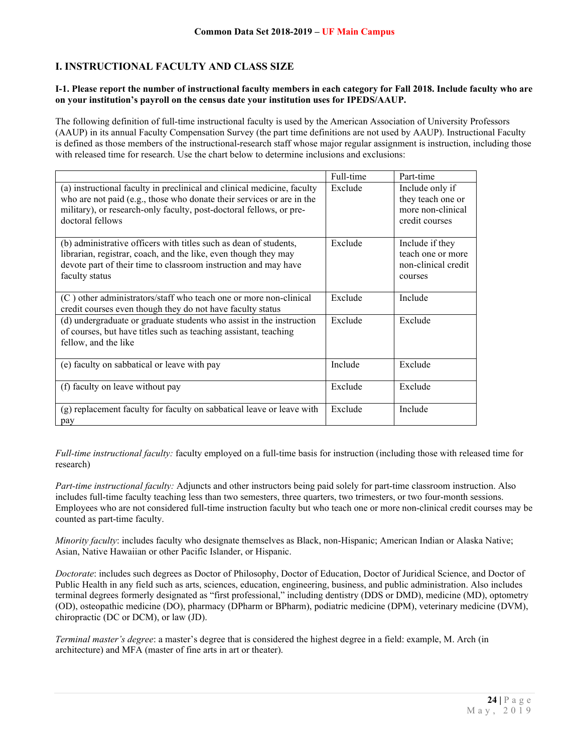# **I. INSTRUCTIONAL FACULTY AND CLASS SIZE**

### **I-1. Please report the number of instructional faculty members in each category for Fall 2018. Include faculty who are on your institution's payroll on the census date your institution uses for IPEDS/AAUP.**

The following definition of full-time instructional faculty is used by the American Association of University Professors (AAUP) in its annual Faculty Compensation Survey (the part time definitions are not used by AAUP). Instructional Faculty is defined as those members of the instructional-research staff whose major regular assignment is instruction, including those with released time for research. Use the chart below to determine inclusions and exclusions:

|                                                                                                                                                                                                                                             | Full-time | Part-time                                                                   |
|---------------------------------------------------------------------------------------------------------------------------------------------------------------------------------------------------------------------------------------------|-----------|-----------------------------------------------------------------------------|
| (a) instructional faculty in preclinical and clinical medicine, faculty<br>who are not paid (e.g., those who donate their services or are in the<br>military), or research-only faculty, post-doctoral fellows, or pre-<br>doctoral fellows | Exclude   | Include only if<br>they teach one or<br>more non-clinical<br>credit courses |
| (b) administrative officers with titles such as dean of students,<br>librarian, registrar, coach, and the like, even though they may<br>devote part of their time to classroom instruction and may have<br>faculty status                   | Exclude   | Include if they<br>teach one or more<br>non-clinical credit<br>courses      |
| (C) other administrators/staff who teach one or more non-clinical<br>credit courses even though they do not have faculty status                                                                                                             | Exclude   | Include                                                                     |
| (d) undergraduate or graduate students who assist in the instruction<br>of courses, but have titles such as teaching assistant, teaching<br>fellow, and the like                                                                            | Exclude   | Exclude                                                                     |
| (e) faculty on sabbatical or leave with pay                                                                                                                                                                                                 | Include   | Exclude                                                                     |
| (f) faculty on leave without pay                                                                                                                                                                                                            | Exclude   | Exclude                                                                     |
| (g) replacement faculty for faculty on sabbatical leave or leave with<br>pay                                                                                                                                                                | Exclude   | Include                                                                     |

*Full-time instructional faculty:* faculty employed on a full-time basis for instruction (including those with released time for research)

*Part-time instructional faculty:* Adjuncts and other instructors being paid solely for part-time classroom instruction. Also includes full-time faculty teaching less than two semesters, three quarters, two trimesters, or two four-month sessions. Employees who are not considered full-time instruction faculty but who teach one or more non-clinical credit courses may be counted as part-time faculty.

*Minority faculty*: includes faculty who designate themselves as Black, non-Hispanic; American Indian or Alaska Native; Asian, Native Hawaiian or other Pacific Islander, or Hispanic.

*Doctorate*: includes such degrees as Doctor of Philosophy, Doctor of Education, Doctor of Juridical Science, and Doctor of Public Health in any field such as arts, sciences, education, engineering, business, and public administration. Also includes terminal degrees formerly designated as "first professional," including dentistry (DDS or DMD), medicine (MD), optometry (OD), osteopathic medicine (DO), pharmacy (DPharm or BPharm), podiatric medicine (DPM), veterinary medicine (DVM), chiropractic (DC or DCM), or law (JD).

*Terminal master's degree*: a master's degree that is considered the highest degree in a field: example, M. Arch (in architecture) and MFA (master of fine arts in art or theater).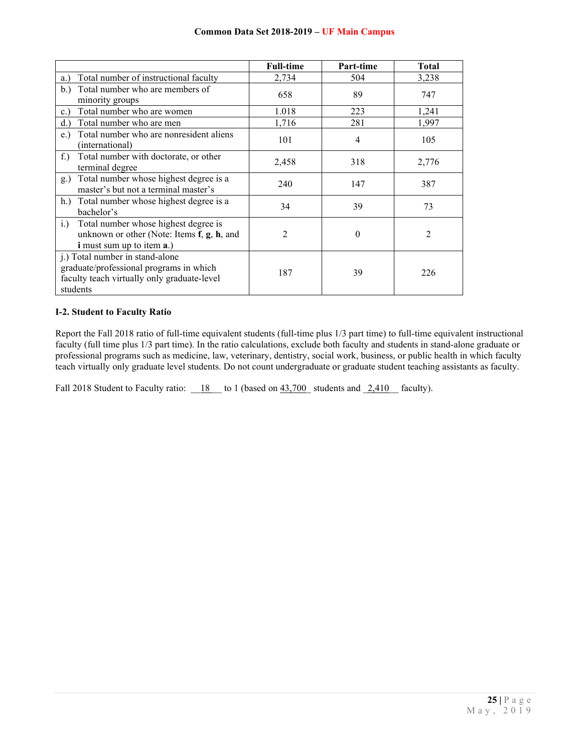|                                                                                                                                       | <b>Full-time</b> | Part-time      | <b>Total</b> |
|---------------------------------------------------------------------------------------------------------------------------------------|------------------|----------------|--------------|
| Total number of instructional faculty<br>a.)                                                                                          | 2,734            | 504            | 3,238        |
| Total number who are members of<br>b.)<br>minority groups                                                                             | 658              | 89             | 747          |
| Total number who are women<br>c.                                                                                                      | 1.018            | 223            | 1,241        |
| Total number who are men<br>d.                                                                                                        | 1,716            | 281            | 1,997        |
| Total number who are nonresident aliens<br>e.)<br>(international)                                                                     | 101              | $\overline{4}$ | 105          |
| Total number with doctorate, or other<br>$f$ .)<br>terminal degree                                                                    | 2,458            | 318            | 2,776        |
| Total number whose highest degree is a<br>g.)<br>master's but not a terminal master's                                                 | 240              | 147            | 387          |
| h.) Total number whose highest degree is a<br>bachelor's                                                                              | 34               | 39             | 73           |
| Total number whose highest degree is<br>i.)<br>unknown or other (Note: Items f, g, h, and<br><i>i</i> must sum up to item <b>a</b> .) | 2                | 0              | 2            |
| j.) Total number in stand-alone<br>graduate/professional programs in which<br>faculty teach virtually only graduate-level<br>students | 187              | 39             | 226          |

### **I-2. Student to Faculty Ratio**

Report the Fall 2018 ratio of full-time equivalent students (full-time plus 1/3 part time) to full-time equivalent instructional faculty (full time plus 1/3 part time). In the ratio calculations, exclude both faculty and students in stand-alone graduate or professional programs such as medicine, law, veterinary, dentistry, social work, business, or public health in which faculty teach virtually only graduate level students. Do not count undergraduate or graduate student teaching assistants as faculty.

Fall 2018 Student to Faculty ratio:  $\underline{\hspace{1cm}18\hspace{1cm}}$  to 1 (based on  $\underline{\hspace{1cm}43,700\hspace{1cm}}}$  students and  $\underline{\hspace{1cm}2,410\hspace{1cm}}}$  faculty).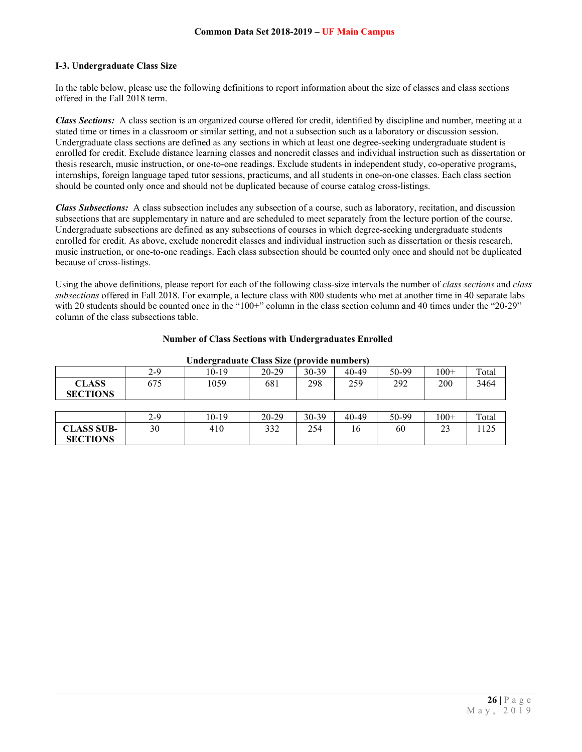### **I-3. Undergraduate Class Size**

In the table below, please use the following definitions to report information about the size of classes and class sections offered in the Fall 2018 term.

*Class Sections:* A class section is an organized course offered for credit, identified by discipline and number, meeting at a stated time or times in a classroom or similar setting, and not a subsection such as a laboratory or discussion session. Undergraduate class sections are defined as any sections in which at least one degree-seeking undergraduate student is enrolled for credit. Exclude distance learning classes and noncredit classes and individual instruction such as dissertation or thesis research, music instruction, or one-to-one readings. Exclude students in independent study, co-operative programs, internships, foreign language taped tutor sessions, practicums, and all students in one-on-one classes. Each class section should be counted only once and should not be duplicated because of course catalog cross-listings.

*Class Subsections:* A class subsection includes any subsection of a course, such as laboratory, recitation, and discussion subsections that are supplementary in nature and are scheduled to meet separately from the lecture portion of the course. Undergraduate subsections are defined as any subsections of courses in which degree-seeking undergraduate students enrolled for credit. As above, exclude noncredit classes and individual instruction such as dissertation or thesis research, music instruction, or one-to-one readings. Each class subsection should be counted only once and should not be duplicated because of cross-listings.

Using the above definitions, please report for each of the following class-size intervals the number of *class sections* and *class subsections* offered in Fall 2018. For example, a lecture class with 800 students who met at another time in 40 separate labs with 20 students should be counted once in the "100+" column in the class section column and 40 times under the "20-29" column of the class subsections table.

| Undergraduate Class Size (provide numbers) |       |         |           |         |           |       |        |       |
|--------------------------------------------|-------|---------|-----------|---------|-----------|-------|--------|-------|
|                                            | $2-9$ | $10-19$ | 20-29     | 30-39   | 40-49     | 50-99 | $100+$ | Total |
| <b>CLASS</b>                               | 675   | 1059    | 681       | 298     | 259       | 292   | 200    | 3464  |
| <b>SECTIONS</b>                            |       |         |           |         |           |       |        |       |
|                                            |       |         |           |         |           |       |        |       |
|                                            | $2-9$ | 10-19   | $20 - 29$ | $30-39$ | $40 - 49$ | 50-99 | $100+$ | Total |
| <b>CLASS SUB-</b>                          | 30    | 410     | 332       | 254     | 16        | 60    | 23     | 1125  |
| <b>SECTIONS</b>                            |       |         |           |         |           |       |        |       |

#### **Number of Class Sections with Undergraduates Enrolled**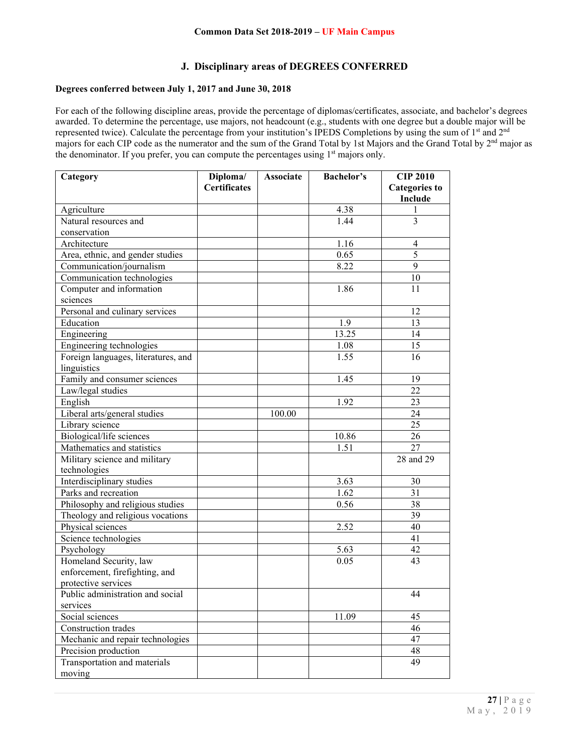## **J. Disciplinary areas of DEGREES CONFERRED**

## **Degrees conferred between July 1, 2017 and June 30, 2018**

For each of the following discipline areas, provide the percentage of diplomas/certificates, associate, and bachelor's degrees awarded. To determine the percentage, use majors, not headcount (e.g., students with one degree but a double major will be represented twice). Calculate the percentage from your institution's IPEDS Completions by using the sum of 1st and 2nd majors for each CIP code as the numerator and the sum of the Grand Total by 1st Majors and the Grand Total by 2nd major as the denominator. If you prefer, you can compute the percentages using 1<sup>st</sup> majors only.

| Category                            | Diploma/            | <b>Associate</b> | <b>Bachelor's</b> | <b>CIP 2010</b>        |
|-------------------------------------|---------------------|------------------|-------------------|------------------------|
|                                     | <b>Certificates</b> |                  |                   | <b>Categories to</b>   |
|                                     |                     |                  |                   | Include                |
| Agriculture                         |                     |                  | 4.38              | 1                      |
| Natural resources and               |                     |                  | 1.44              | $\overline{3}$         |
| conservation                        |                     |                  |                   |                        |
| Architecture                        |                     |                  | 1.16              | $\overline{4}$         |
| Area, ethnic, and gender studies    |                     |                  | 0.65              | 5                      |
| Communication/journalism            |                     |                  | 8.22              | 9                      |
| Communication technologies          |                     |                  |                   | 10                     |
| Computer and information            |                     |                  | 1.86              | 11                     |
| sciences                            |                     |                  |                   |                        |
| Personal and culinary services      |                     |                  |                   | 12                     |
| Education                           |                     |                  | 1.9               | 13                     |
| Engineering                         |                     |                  | 13.25             | 14                     |
| Engineering technologies            |                     |                  | 1.08              | 15                     |
| Foreign languages, literatures, and |                     |                  | 1.55              | 16                     |
| linguistics                         |                     |                  |                   |                        |
| Family and consumer sciences        |                     |                  | 1.45              | 19                     |
| Law/legal studies                   |                     |                  |                   | 22                     |
| English                             |                     |                  | 1.92              | 23                     |
| Liberal arts/general studies        |                     | 100.00           |                   | 24                     |
| Library science                     |                     |                  |                   | 25                     |
| Biological/life sciences            |                     |                  | 10.86             | 26                     |
| Mathematics and statistics          |                     |                  | 1.51              | 27                     |
| Military science and military       |                     |                  |                   | $\overline{28}$ and 29 |
| technologies                        |                     |                  |                   |                        |
| Interdisciplinary studies           |                     |                  | 3.63              | 30                     |
| Parks and recreation                |                     |                  | 1.62              | 31                     |
| Philosophy and religious studies    |                     |                  | 0.56              | 38                     |
| Theology and religious vocations    |                     |                  |                   | 39                     |
| Physical sciences                   |                     |                  | 2.52              | 40                     |
| Science technologies                |                     |                  |                   | 41                     |
| Psychology                          |                     |                  | 5.63              | 42                     |
| Homeland Security, law              |                     |                  | 0.05              | 43                     |
| enforcement, firefighting, and      |                     |                  |                   |                        |
| protective services                 |                     |                  |                   |                        |
| Public administration and social    |                     |                  |                   | 44                     |
| services                            |                     |                  |                   |                        |
| Social sciences                     |                     |                  | 11.09             | 45                     |
| Construction trades                 |                     |                  |                   | 46                     |
| Mechanic and repair technologies    |                     |                  |                   | 47                     |
| Precision production                |                     |                  |                   | 48                     |
| Transportation and materials        |                     |                  |                   | 49                     |
| moving                              |                     |                  |                   |                        |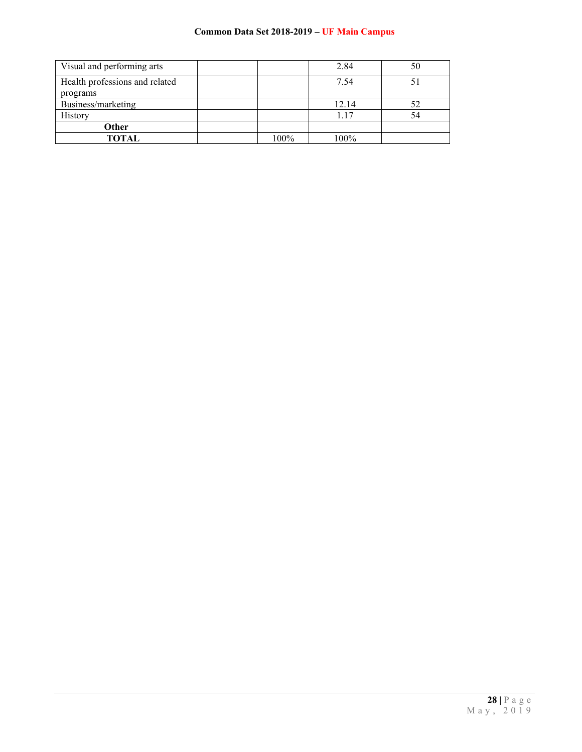| Visual and performing arts                 |      | 2.84  | 50 |
|--------------------------------------------|------|-------|----|
| Health professions and related<br>programs |      | 7.54  |    |
| Business/marketing                         |      | 12.14 | 52 |
| History                                    |      | 1.17  | 54 |
| Other                                      |      |       |    |
| TOTAL                                      | 100% | 100%  |    |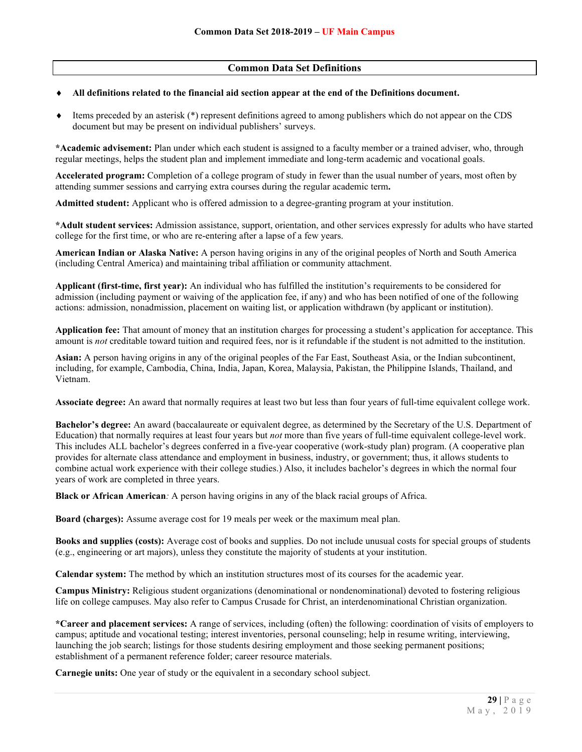## **Common Data Set Definitions**

#### All definitions related to the financial aid section appear at the end of the Definitions document.

♦ Items preceded by an asterisk (\*) represent definitions agreed to among publishers which do not appear on the CDS document but may be present on individual publishers' surveys.

**\*Academic advisement:** Plan under which each student is assigned to a faculty member or a trained adviser, who, through regular meetings, helps the student plan and implement immediate and long-term academic and vocational goals.

**Accelerated program:** Completion of a college program of study in fewer than the usual number of years, most often by attending summer sessions and carrying extra courses during the regular academic term**.**

**Admitted student:** Applicant who is offered admission to a degree-granting program at your institution.

**\*Adult student services:** Admission assistance, support, orientation, and other services expressly for adults who have started college for the first time, or who are re-entering after a lapse of a few years.

**American Indian or Alaska Native:** A person having origins in any of the original peoples of North and South America (including Central America) and maintaining tribal affiliation or community attachment.

**Applicant (first-time, first year):** An individual who has fulfilled the institution's requirements to be considered for admission (including payment or waiving of the application fee, if any) and who has been notified of one of the following actions: admission, nonadmission, placement on waiting list, or application withdrawn (by applicant or institution).

**Application fee:** That amount of money that an institution charges for processing a student's application for acceptance. This amount is *not* creditable toward tuition and required fees, nor is it refundable if the student is not admitted to the institution.

**Asian:** A person having origins in any of the original peoples of the Far East, Southeast Asia, or the Indian subcontinent, including, for example, Cambodia, China, India, Japan, Korea, Malaysia, Pakistan, the Philippine Islands, Thailand, and Vietnam.

**Associate degree:** An award that normally requires at least two but less than four years of full-time equivalent college work.

**Bachelor's degree:** An award (baccalaureate or equivalent degree, as determined by the Secretary of the U.S. Department of Education) that normally requires at least four years but *not* more than five years of full-time equivalent college-level work. This includes ALL bachelor's degrees conferred in a five-year cooperative (work-study plan) program. (A cooperative plan provides for alternate class attendance and employment in business, industry, or government; thus, it allows students to combine actual work experience with their college studies.) Also, it includes bachelor's degrees in which the normal four years of work are completed in three years.

**Black or African American***:* A person having origins in any of the black racial groups of Africa.

**Board (charges):** Assume average cost for 19 meals per week or the maximum meal plan.

**Books and supplies (costs):** Average cost of books and supplies. Do not include unusual costs for special groups of students (e.g., engineering or art majors), unless they constitute the majority of students at your institution.

**Calendar system:** The method by which an institution structures most of its courses for the academic year.

**Campus Ministry:** Religious student organizations (denominational or nondenominational) devoted to fostering religious life on college campuses. May also refer to Campus Crusade for Christ, an interdenominational Christian organization.

**\*Career and placement services:** A range of services, including (often) the following: coordination of visits of employers to campus; aptitude and vocational testing; interest inventories, personal counseling; help in resume writing, interviewing, launching the job search; listings for those students desiring employment and those seeking permanent positions; establishment of a permanent reference folder; career resource materials.

**Carnegie units:** One year of study or the equivalent in a secondary school subject.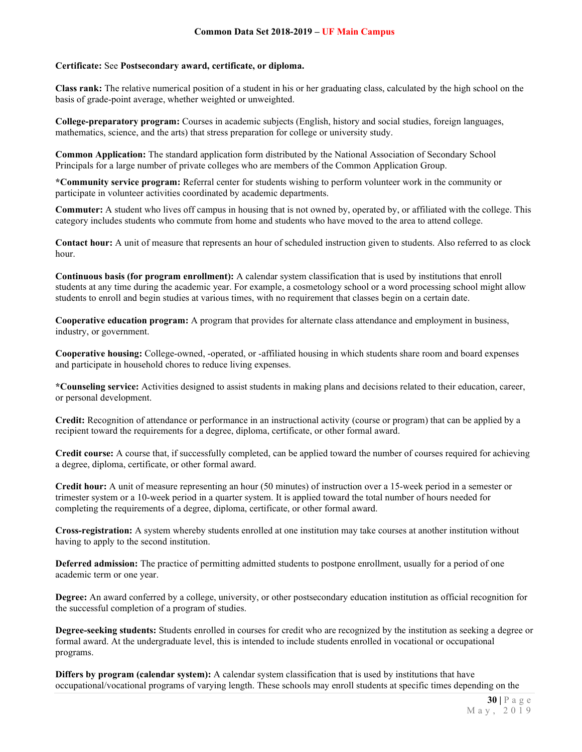#### **Certificate:** See **Postsecondary award, certificate, or diploma.**

**Class rank:** The relative numerical position of a student in his or her graduating class, calculated by the high school on the basis of grade-point average, whether weighted or unweighted.

**College-preparatory program:** Courses in academic subjects (English, history and social studies, foreign languages, mathematics, science, and the arts) that stress preparation for college or university study.

**Common Application:** The standard application form distributed by the National Association of Secondary School Principals for a large number of private colleges who are members of the Common Application Group.

**\*Community service program:** Referral center for students wishing to perform volunteer work in the community or participate in volunteer activities coordinated by academic departments.

**Commuter:** A student who lives off campus in housing that is not owned by, operated by, or affiliated with the college. This category includes students who commute from home and students who have moved to the area to attend college.

**Contact hour:** A unit of measure that represents an hour of scheduled instruction given to students. Also referred to as clock hour.

**Continuous basis (for program enrollment):** A calendar system classification that is used by institutions that enroll students at any time during the academic year. For example, a cosmetology school or a word processing school might allow students to enroll and begin studies at various times, with no requirement that classes begin on a certain date.

**Cooperative education program:** A program that provides for alternate class attendance and employment in business, industry, or government.

**Cooperative housing:** College-owned, -operated, or -affiliated housing in which students share room and board expenses and participate in household chores to reduce living expenses.

**\*Counseling service:** Activities designed to assist students in making plans and decisions related to their education, career, or personal development.

**Credit:** Recognition of attendance or performance in an instructional activity (course or program) that can be applied by a recipient toward the requirements for a degree, diploma, certificate, or other formal award.

**Credit course:** A course that, if successfully completed, can be applied toward the number of courses required for achieving a degree, diploma, certificate, or other formal award.

**Credit hour:** A unit of measure representing an hour (50 minutes) of instruction over a 15-week period in a semester or trimester system or a 10-week period in a quarter system. It is applied toward the total number of hours needed for completing the requirements of a degree, diploma, certificate, or other formal award.

**Cross-registration:** A system whereby students enrolled at one institution may take courses at another institution without having to apply to the second institution.

**Deferred admission:** The practice of permitting admitted students to postpone enrollment, usually for a period of one academic term or one year.

**Degree:** An award conferred by a college, university, or other postsecondary education institution as official recognition for the successful completion of a program of studies.

**Degree-seeking students:** Students enrolled in courses for credit who are recognized by the institution as seeking a degree or formal award. At the undergraduate level, this is intended to include students enrolled in vocational or occupational programs.

**Differs by program (calendar system):** A calendar system classification that is used by institutions that have occupational/vocational programs of varying length. These schools may enroll students at specific times depending on the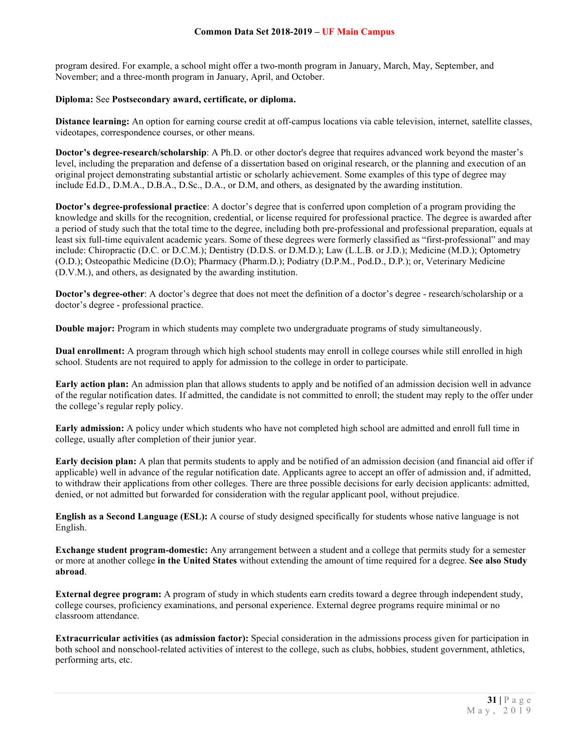program desired. For example, a school might offer a two-month program in January, March, May, September, and November; and a three-month program in January, April, and October.

#### **Diploma:** See **Postsecondary award, certificate, or diploma.**

**Distance learning:** An option for earning course credit at off-campus locations via cable television, internet, satellite classes, videotapes, correspondence courses, or other means.

**Doctor's degree-research/scholarship**: A Ph.D. or other doctor's degree that requires advanced work beyond the master's level, including the preparation and defense of a dissertation based on original research, or the planning and execution of an original project demonstrating substantial artistic or scholarly achievement. Some examples of this type of degree may include Ed.D., D.M.A., D.B.A., D.Sc., D.A., or D.M, and others, as designated by the awarding institution.

**Doctor's degree-professional practice**: A doctor's degree that is conferred upon completion of a program providing the knowledge and skills for the recognition, credential, or license required for professional practice. The degree is awarded after a period of study such that the total time to the degree, including both pre-professional and professional preparation, equals at least six full-time equivalent academic years. Some of these degrees were formerly classified as "first-professional" and may include: Chiropractic (D.C. or D.C.M.); Dentistry (D.D.S. or D.M.D.); Law (L.L.B. or J.D.); Medicine (M.D.); Optometry (O.D.); Osteopathic Medicine (D.O); Pharmacy (Pharm.D.); Podiatry (D.P.M., Pod.D., D.P.); or, Veterinary Medicine (D.V.M.), and others, as designated by the awarding institution.

**Doctor's degree-other**: A doctor's degree that does not meet the definition of a doctor's degree - research/scholarship or a doctor's degree - professional practice.

**Double major:** Program in which students may complete two undergraduate programs of study simultaneously.

**Dual enrollment:** A program through which high school students may enroll in college courses while still enrolled in high school. Students are not required to apply for admission to the college in order to participate.

**Early action plan:** An admission plan that allows students to apply and be notified of an admission decision well in advance of the regular notification dates. If admitted, the candidate is not committed to enroll; the student may reply to the offer under the college's regular reply policy.

**Early admission:** A policy under which students who have not completed high school are admitted and enroll full time in college, usually after completion of their junior year.

**Early decision plan:** A plan that permits students to apply and be notified of an admission decision (and financial aid offer if applicable) well in advance of the regular notification date. Applicants agree to accept an offer of admission and, if admitted, to withdraw their applications from other colleges. There are three possible decisions for early decision applicants: admitted, denied, or not admitted but forwarded for consideration with the regular applicant pool, without prejudice.

**English as a Second Language (ESL):** A course of study designed specifically for students whose native language is not English.

**Exchange student program-domestic:** Any arrangement between a student and a college that permits study for a semester or more at another college **in the United States** without extending the amount of time required for a degree. **See also Study abroad**.

**External degree program:** A program of study in which students earn credits toward a degree through independent study, college courses, proficiency examinations, and personal experience. External degree programs require minimal or no classroom attendance.

**Extracurricular activities (as admission factor):** Special consideration in the admissions process given for participation in both school and nonschool-related activities of interest to the college, such as clubs, hobbies, student government, athletics, performing arts, etc.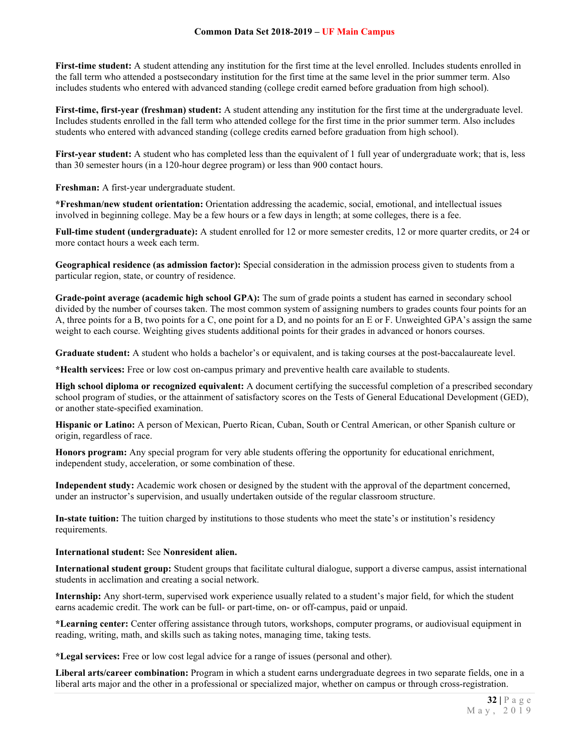**First-time student:** A student attending any institution for the first time at the level enrolled. Includes students enrolled in the fall term who attended a postsecondary institution for the first time at the same level in the prior summer term. Also includes students who entered with advanced standing (college credit earned before graduation from high school).

**First-time, first-year (freshman) student:** A student attending any institution for the first time at the undergraduate level. Includes students enrolled in the fall term who attended college for the first time in the prior summer term. Also includes students who entered with advanced standing (college credits earned before graduation from high school).

**First-year student:** A student who has completed less than the equivalent of 1 full year of undergraduate work; that is, less than 30 semester hours (in a 120-hour degree program) or less than 900 contact hours.

**Freshman:** A first-year undergraduate student.

**\*Freshman/new student orientation:** Orientation addressing the academic, social, emotional, and intellectual issues involved in beginning college. May be a few hours or a few days in length; at some colleges, there is a fee.

**Full-time student (undergraduate):** A student enrolled for 12 or more semester credits, 12 or more quarter credits, or 24 or more contact hours a week each term.

**Geographical residence (as admission factor):** Special consideration in the admission process given to students from a particular region, state, or country of residence.

**Grade-point average (academic high school GPA):** The sum of grade points a student has earned in secondary school divided by the number of courses taken. The most common system of assigning numbers to grades counts four points for an A, three points for a B, two points for a C, one point for a D, and no points for an E or F. Unweighted GPA's assign the same weight to each course. Weighting gives students additional points for their grades in advanced or honors courses.

**Graduate student:** A student who holds a bachelor's or equivalent, and is taking courses at the post-baccalaureate level.

**\*Health services:** Free or low cost on-campus primary and preventive health care available to students.

**High school diploma or recognized equivalent:** A document certifying the successful completion of a prescribed secondary school program of studies, or the attainment of satisfactory scores on the Tests of General Educational Development (GED), or another state-specified examination.

**Hispanic or Latino:** A person of Mexican, Puerto Rican, Cuban, South or Central American, or other Spanish culture or origin, regardless of race.

**Honors program:** Any special program for very able students offering the opportunity for educational enrichment, independent study, acceleration, or some combination of these.

**Independent study:** Academic work chosen or designed by the student with the approval of the department concerned, under an instructor's supervision, and usually undertaken outside of the regular classroom structure.

**In-state tuition:** The tuition charged by institutions to those students who meet the state's or institution's residency requirements.

#### **International student:** See **Nonresident alien.**

**International student group:** Student groups that facilitate cultural dialogue, support a diverse campus, assist international students in acclimation and creating a social network.

**Internship:** Any short-term, supervised work experience usually related to a student's major field, for which the student earns academic credit. The work can be full- or part-time, on- or off-campus, paid or unpaid.

**\*Learning center:** Center offering assistance through tutors, workshops, computer programs, or audiovisual equipment in reading, writing, math, and skills such as taking notes, managing time, taking tests.

**\*Legal services:** Free or low cost legal advice for a range of issues (personal and other).

**Liberal arts/career combination:** Program in which a student earns undergraduate degrees in two separate fields, one in a liberal arts major and the other in a professional or specialized major, whether on campus or through cross-registration.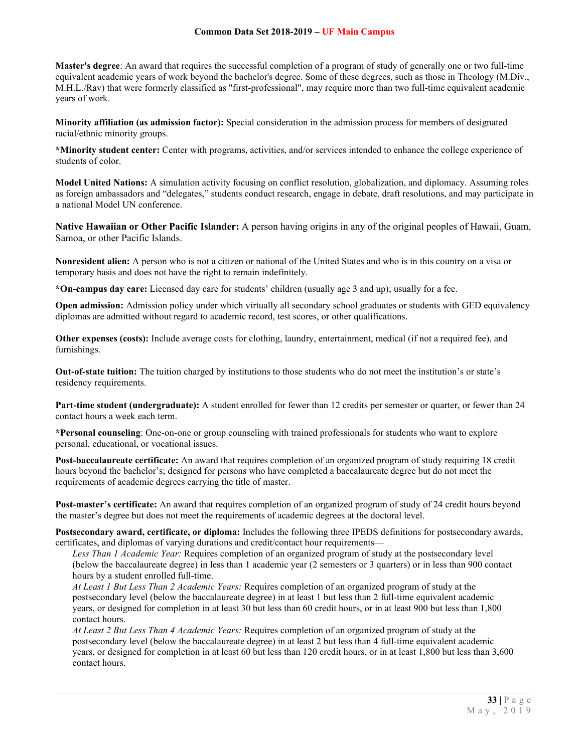**Master's degree**: An award that requires the successful completion of a program of study of generally one or two full-time equivalent academic years of work beyond the bachelor's degree. Some of these degrees, such as those in Theology (M.Div., M.H.L./Rav) that were formerly classified as "first-professional", may require more than two full-time equivalent academic years of work.

**Minority affiliation (as admission factor):** Special consideration in the admission process for members of designated racial/ethnic minority groups.

**\*Minority student center:** Center with programs, activities, and/or services intended to enhance the college experience of students of color.

**Model United Nations:** A simulation activity focusing on conflict resolution, globalization, and diplomacy. Assuming roles as foreign ambassadors and "delegates," students conduct research, engage in debate, draft resolutions, and may participate in a national Model UN conference.

**Native Hawaiian or Other Pacific Islander:** A person having origins in any of the original peoples of Hawaii, Guam, Samoa, or other Pacific Islands.

**Nonresident alien:** A person who is not a citizen or national of the United States and who is in this country on a visa or temporary basis and does not have the right to remain indefinitely.

**\*On-campus day care:** Licensed day care for students' children (usually age 3 and up); usually for a fee.

**Open admission:** Admission policy under which virtually all secondary school graduates or students with GED equivalency diplomas are admitted without regard to academic record, test scores, or other qualifications.

**Other expenses (costs):** Include average costs for clothing, laundry, entertainment, medical (if not a required fee), and furnishings.

**Out-of-state tuition:** The tuition charged by institutions to those students who do not meet the institution's or state's residency requirements.

**Part-time student (undergraduate):** A student enrolled for fewer than 12 credits per semester or quarter, or fewer than 24 contact hours a week each term.

**\*Personal counseling**: One-on-one or group counseling with trained professionals for students who want to explore personal, educational, or vocational issues.

**Post-baccalaureate certificate:** An award that requires completion of an organized program of study requiring 18 credit hours beyond the bachelor's; designed for persons who have completed a baccalaureate degree but do not meet the requirements of academic degrees carrying the title of master.

**Post-master's certificate:** An award that requires completion of an organized program of study of 24 credit hours beyond the master's degree but does not meet the requirements of academic degrees at the doctoral level.

**Postsecondary award, certificate, or diploma:** Includes the following three IPEDS definitions for postsecondary awards, certificates, and diplomas of varying durations and credit/contact hour requirements—

*Less Than 1 Academic Year:* Requires completion of an organized program of study at the postsecondary level (below the baccalaureate degree) in less than 1 academic year (2 semesters or 3 quarters) or in less than 900 contact hours by a student enrolled full-time.

*At Least 1 But Less Than 2 Academic Years:* Requires completion of an organized program of study at the postsecondary level (below the baccalaureate degree) in at least 1 but less than 2 full-time equivalent academic years, or designed for completion in at least 30 but less than 60 credit hours, or in at least 900 but less than 1,800 contact hours.

*At Least 2 But Less Than 4 Academic Years:* Requires completion of an organized program of study at the postsecondary level (below the baccalaureate degree) in at least 2 but less than 4 full-time equivalent academic years, or designed for completion in at least 60 but less than 120 credit hours, or in at least 1,800 but less than 3,600 contact hours.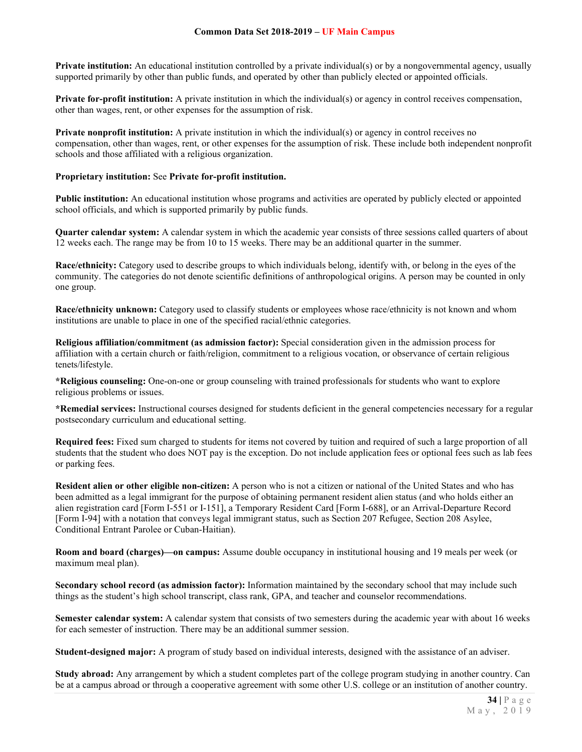**Private institution:** An educational institution controlled by a private individual(s) or by a nongovernmental agency, usually supported primarily by other than public funds, and operated by other than publicly elected or appointed officials.

**Private for-profit institution:** A private institution in which the individual(s) or agency in control receives compensation, other than wages, rent, or other expenses for the assumption of risk.

**Private nonprofit institution:** A private institution in which the individual(s) or agency in control receives no compensation, other than wages, rent, or other expenses for the assumption of risk. These include both independent nonprofit schools and those affiliated with a religious organization.

#### **Proprietary institution:** See **Private for-profit institution.**

**Public institution:** An educational institution whose programs and activities are operated by publicly elected or appointed school officials, and which is supported primarily by public funds.

**Quarter calendar system:** A calendar system in which the academic year consists of three sessions called quarters of about 12 weeks each. The range may be from 10 to 15 weeks. There may be an additional quarter in the summer.

**Race/ethnicity:** Category used to describe groups to which individuals belong, identify with, or belong in the eyes of the community. The categories do not denote scientific definitions of anthropological origins. A person may be counted in only one group.

**Race/ethnicity unknown:** Category used to classify students or employees whose race/ethnicity is not known and whom institutions are unable to place in one of the specified racial/ethnic categories.

**Religious affiliation/commitment (as admission factor):** Special consideration given in the admission process for affiliation with a certain church or faith/religion, commitment to a religious vocation, or observance of certain religious tenets/lifestyle.

**\*Religious counseling:** One-on-one or group counseling with trained professionals for students who want to explore religious problems or issues.

**\*Remedial services:** Instructional courses designed for students deficient in the general competencies necessary for a regular postsecondary curriculum and educational setting.

**Required fees:** Fixed sum charged to students for items not covered by tuition and required of such a large proportion of all students that the student who does NOT pay is the exception. Do not include application fees or optional fees such as lab fees or parking fees.

**Resident alien or other eligible non-citizen:** A person who is not a citizen or national of the United States and who has been admitted as a legal immigrant for the purpose of obtaining permanent resident alien status (and who holds either an alien registration card [Form I-551 or I-151], a Temporary Resident Card [Form I-688], or an Arrival-Departure Record [Form I-94] with a notation that conveys legal immigrant status, such as Section 207 Refugee, Section 208 Asylee, Conditional Entrant Parolee or Cuban-Haitian).

**Room and board (charges)—on campus:** Assume double occupancy in institutional housing and 19 meals per week (or maximum meal plan).

**Secondary school record (as admission factor):** Information maintained by the secondary school that may include such things as the student's high school transcript, class rank, GPA, and teacher and counselor recommendations.

**Semester calendar system:** A calendar system that consists of two semesters during the academic year with about 16 weeks for each semester of instruction. There may be an additional summer session.

**Student-designed major:** A program of study based on individual interests, designed with the assistance of an adviser.

**Study abroad:** Any arrangement by which a student completes part of the college program studying in another country. Can be at a campus abroad or through a cooperative agreement with some other U.S. college or an institution of another country.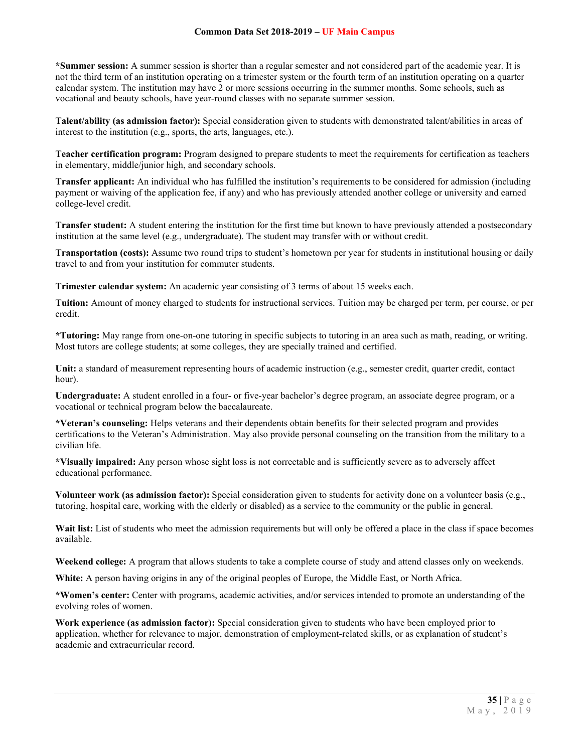**\*Summer session:** A summer session is shorter than a regular semester and not considered part of the academic year. It is not the third term of an institution operating on a trimester system or the fourth term of an institution operating on a quarter calendar system. The institution may have 2 or more sessions occurring in the summer months. Some schools, such as vocational and beauty schools, have year-round classes with no separate summer session.

**Talent/ability (as admission factor):** Special consideration given to students with demonstrated talent/abilities in areas of interest to the institution (e.g., sports, the arts, languages, etc.).

**Teacher certification program:** Program designed to prepare students to meet the requirements for certification as teachers in elementary, middle/junior high, and secondary schools.

**Transfer applicant:** An individual who has fulfilled the institution's requirements to be considered for admission (including payment or waiving of the application fee, if any) and who has previously attended another college or university and earned college-level credit.

**Transfer student:** A student entering the institution for the first time but known to have previously attended a postsecondary institution at the same level (e.g., undergraduate). The student may transfer with or without credit.

**Transportation (costs):** Assume two round trips to student's hometown per year for students in institutional housing or daily travel to and from your institution for commuter students.

**Trimester calendar system:** An academic year consisting of 3 terms of about 15 weeks each.

**Tuition:** Amount of money charged to students for instructional services. Tuition may be charged per term, per course, or per credit.

**\*Tutoring:** May range from one-on-one tutoring in specific subjects to tutoring in an area such as math, reading, or writing. Most tutors are college students; at some colleges, they are specially trained and certified.

**Unit:** a standard of measurement representing hours of academic instruction (e.g., semester credit, quarter credit, contact hour).

**Undergraduate:** A student enrolled in a four- or five-year bachelor's degree program, an associate degree program, or a vocational or technical program below the baccalaureate.

**\*Veteran's counseling:** Helps veterans and their dependents obtain benefits for their selected program and provides certifications to the Veteran's Administration. May also provide personal counseling on the transition from the military to a civilian life.

**\*Visually impaired:** Any person whose sight loss is not correctable and is sufficiently severe as to adversely affect educational performance.

**Volunteer work (as admission factor):** Special consideration given to students for activity done on a volunteer basis (e.g., tutoring, hospital care, working with the elderly or disabled) as a service to the community or the public in general.

Wait list: List of students who meet the admission requirements but will only be offered a place in the class if space becomes available.

**Weekend college:** A program that allows students to take a complete course of study and attend classes only on weekends.

**White:** A person having origins in any of the original peoples of Europe, the Middle East, or North Africa.

**\*Women's center:** Center with programs, academic activities, and/or services intended to promote an understanding of the evolving roles of women.

**Work experience (as admission factor):** Special consideration given to students who have been employed prior to application, whether for relevance to major, demonstration of employment-related skills, or as explanation of student's academic and extracurricular record.